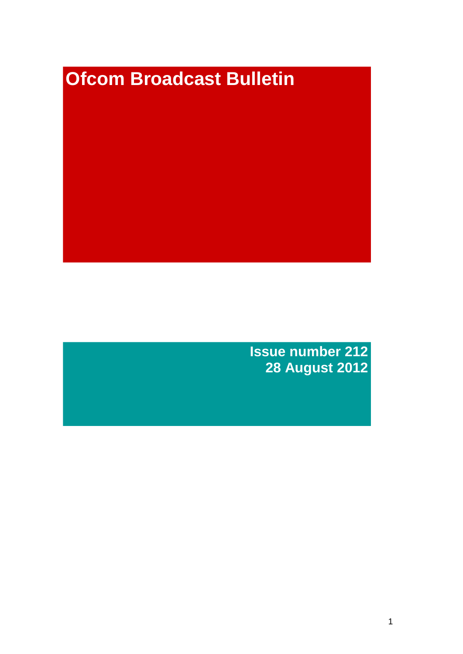# **Ofcom Broadcast Bulletin**

**Issue number 212 28 August 2012**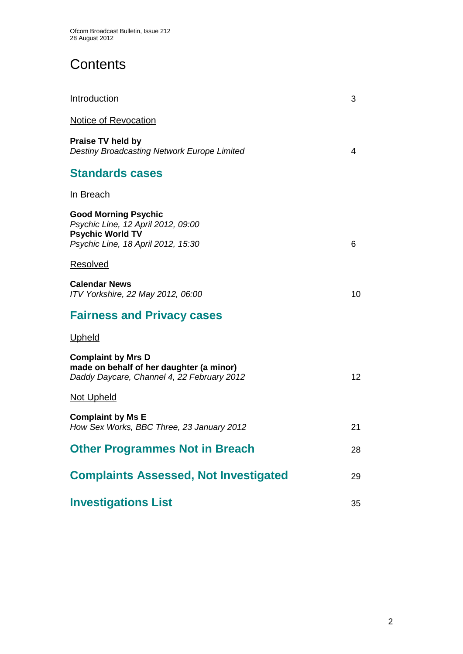# **Contents**

| Introduction                                                                                                                       | 3  |
|------------------------------------------------------------------------------------------------------------------------------------|----|
| <b>Notice of Revocation</b>                                                                                                        |    |
| <b>Praise TV held by</b><br>Destiny Broadcasting Network Europe Limited                                                            | 4  |
| <b>Standards cases</b>                                                                                                             |    |
| In Breach                                                                                                                          |    |
| <b>Good Morning Psychic</b><br>Psychic Line, 12 April 2012, 09:00<br><b>Psychic World TV</b><br>Psychic Line, 18 April 2012, 15:30 | 6  |
| Resolved                                                                                                                           |    |
| <b>Calendar News</b><br>ITV Yorkshire, 22 May 2012, 06:00                                                                          | 10 |
| <b>Fairness and Privacy cases</b>                                                                                                  |    |
| <u>Upheld</u>                                                                                                                      |    |
| <b>Complaint by Mrs D</b><br>made on behalf of her daughter (a minor)<br>Daddy Daycare, Channel 4, 22 February 2012                | 12 |
| <b>Not Upheld</b>                                                                                                                  |    |
| <b>Complaint by Ms E</b><br>How Sex Works, BBC Three, 23 January 2012                                                              | 21 |
| <b>Other Programmes Not in Breach</b>                                                                                              | 28 |
| <b>Complaints Assessed, Not Investigated</b>                                                                                       | 29 |
| <b>Investigations List</b>                                                                                                         | 35 |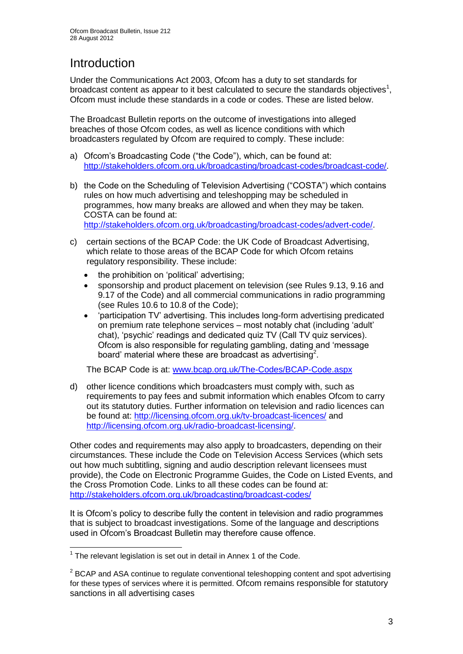# **Introduction**

Under the Communications Act 2003, Ofcom has a duty to set standards for broadcast content as appear to it best calculated to secure the standards objectives<sup>1</sup>, Ofcom must include these standards in a code or codes. These are listed below.

The Broadcast Bulletin reports on the outcome of investigations into alleged breaches of those Ofcom codes, as well as licence conditions with which broadcasters regulated by Ofcom are required to comply. These include:

- a) Ofcom's Broadcasting Code ("the Code"), which, can be found at: [http://stakeholders.ofcom.org.uk/broadcasting/broadcast-codes/broadcast-code/.](http://stakeholders.ofcom.org.uk/broadcasting/broadcast-codes/broadcast-code/)
- b) the Code on the Scheduling of Television Advertising ("COSTA") which contains rules on how much advertising and teleshopping may be scheduled in programmes, how many breaks are allowed and when they may be taken. COSTA can be found at: [http://stakeholders.ofcom.org.uk/broadcasting/broadcast-codes/advert-code/.](http://stakeholders.ofcom.org.uk/broadcasting/broadcast-codes/advert-code/)

c) certain sections of the BCAP Code: the UK Code of Broadcast Advertising, which relate to those areas of the BCAP Code for which Ofcom retains regulatory responsibility. These include:

- the prohibition on 'political' advertising;
- sponsorship and product placement on television (see Rules 9.13, 9.16 and 9.17 of the Code) and all commercial communications in radio programming (see Rules 10.6 to 10.8 of the Code);
- 'participation TV' advertising. This includes long-form advertising predicated on premium rate telephone services – most notably chat (including 'adult' chat), 'psychic' readings and dedicated quiz TV (Call TV quiz services). Ofcom is also responsible for regulating gambling, dating and 'message board' material where these are broadcast as advertising<sup>2</sup>.

The BCAP Code is at: [www.bcap.org.uk/The-Codes/BCAP-Code.aspx](http://www.bcap.org.uk/The-Codes/BCAP-Code.aspx)

d) other licence conditions which broadcasters must comply with, such as requirements to pay fees and submit information which enables Ofcom to carry out its statutory duties. Further information on television and radio licences can be found at:<http://licensing.ofcom.org.uk/tv-broadcast-licences/> and [http://licensing.ofcom.org.uk/radio-broadcast-licensing/.](http://licensing.ofcom.org.uk/radio-broadcast-licensing/)

Other codes and requirements may also apply to broadcasters, depending on their circumstances. These include the Code on Television Access Services (which sets out how much subtitling, signing and audio description relevant licensees must provide), the Code on Electronic Programme Guides, the Code on Listed Events, and the Cross Promotion Code. Links to all these codes can be found at: <http://stakeholders.ofcom.org.uk/broadcasting/broadcast-codes/>

It is Ofcom's policy to describe fully the content in television and radio programmes that is subject to broadcast investigations. Some of the language and descriptions used in Ofcom's Broadcast Bulletin may therefore cause offence.

<sup>1</sup>  $1$  The relevant legislation is set out in detail in Annex 1 of the Code.

 $2$  BCAP and ASA continue to regulate conventional teleshopping content and spot advertising for these types of services where it is permitted. Ofcom remains responsible for statutory sanctions in all advertising cases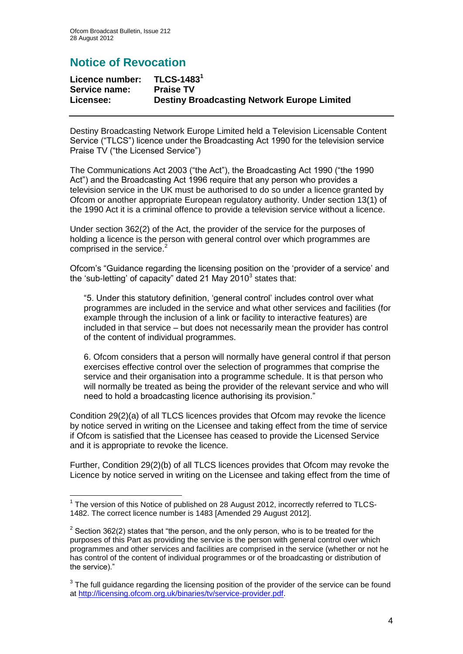# **Notice of Revocation**

| Licence number: | TLCS-1483 $1$                                      |
|-----------------|----------------------------------------------------|
| Service name:   | <b>Praise TV</b>                                   |
| Licensee:       | <b>Destiny Broadcasting Network Europe Limited</b> |

Destiny Broadcasting Network Europe Limited held a Television Licensable Content Service ("TLCS") licence under the Broadcasting Act 1990 for the television service Praise TV ("the Licensed Service")

The Communications Act 2003 ("the Act"), the Broadcasting Act 1990 ("the 1990 Act") and the Broadcasting Act 1996 require that any person who provides a television service in the UK must be authorised to do so under a licence granted by Ofcom or another appropriate European regulatory authority. Under section 13(1) of the 1990 Act it is a criminal offence to provide a television service without a licence.

Under section 362(2) of the Act, the provider of the service for the purposes of holding a licence is the person with general control over which programmes are comprised in the service.<sup>2</sup>

Ofcom's "Guidance regarding the licensing position on the 'provider of a service' and the 'sub-letting' of capacity" dated 21 May 2010 $^3$  states that:

"5. Under this statutory definition, 'general control' includes control over what programmes are included in the service and what other services and facilities (for example through the inclusion of a link or facility to interactive features) are included in that service – but does not necessarily mean the provider has control of the content of individual programmes.

6. Ofcom considers that a person will normally have general control if that person exercises effective control over the selection of programmes that comprise the service and their organisation into a programme schedule. It is that person who will normally be treated as being the provider of the relevant service and who will need to hold a broadcasting licence authorising its provision."

Condition 29(2)(a) of all TLCS licences provides that Ofcom may revoke the licence by notice served in writing on the Licensee and taking effect from the time of service if Ofcom is satisfied that the Licensee has ceased to provide the Licensed Service and it is appropriate to revoke the licence.

Further, Condition 29(2)(b) of all TLCS licences provides that Ofcom may revoke the Licence by notice served in writing on the Licensee and taking effect from the time of

<sup>1</sup> <sup>1</sup> The version of this Notice of published on 28 August 2012, incorrectly referred to TLCS-1482. The correct licence number is 1483 [Amended 29 August 2012].

 $2$  Section 362(2) states that "the person, and the only person, who is to be treated for the purposes of this Part as providing the service is the person with general control over which programmes and other services and facilities are comprised in the service (whether or not he has control of the content of individual programmes or of the broadcasting or distribution of the service)."

 $3$  The full guidance regarding the licensing position of the provider of the service can be found at [http://licensing.ofcom.org.uk/binaries/tv/service-provider.pdf.](http://licensing.ofcom.org.uk/binaries/tv/service-provider.pdf)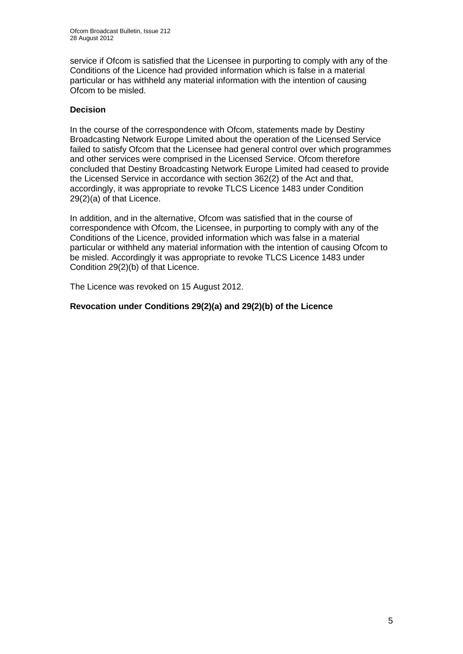service if Ofcom is satisfied that the Licensee in purporting to comply with any of the Conditions of the Licence had provided information which is false in a material particular or has withheld any material information with the intention of causing Ofcom to be misled.

### **Decision**

In the course of the correspondence with Ofcom, statements made by Destiny Broadcasting Network Europe Limited about the operation of the Licensed Service failed to satisfy Ofcom that the Licensee had general control over which programmes and other services were comprised in the Licensed Service. Ofcom therefore concluded that Destiny Broadcasting Network Europe Limited had ceased to provide the Licensed Service in accordance with section 362(2) of the Act and that, accordingly, it was appropriate to revoke TLCS Licence 1483 under Condition 29(2)(a) of that Licence.

In addition, and in the alternative, Ofcom was satisfied that in the course of correspondence with Ofcom, the Licensee, in purporting to comply with any of the Conditions of the Licence, provided information which was false in a material particular or withheld any material information with the intention of causing Ofcom to be misled. Accordingly it was appropriate to revoke TLCS Licence 1483 under Condition 29(2)(b) of that Licence.

The Licence was revoked on 15 August 2012.

**Revocation under Conditions 29(2)(a) and 29(2)(b) of the Licence**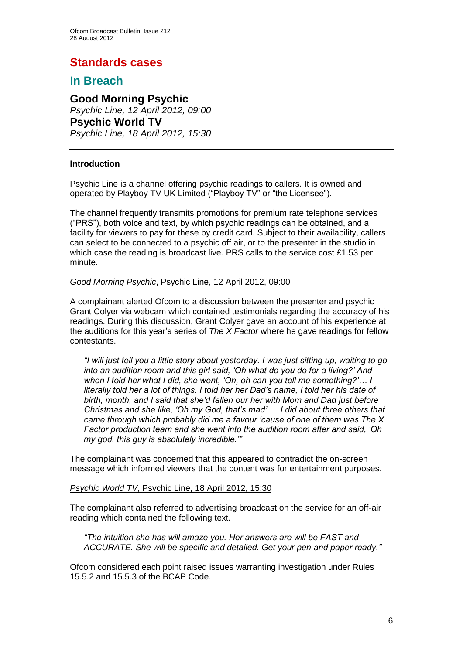# **Standards cases**

# **In Breach**

**Good Morning Psychic** *Psychic Line, 12 April 2012, 09:00* **Psychic World TV** *Psychic Line, 18 April 2012, 15:30*

### **Introduction**

Psychic Line is a channel offering psychic readings to callers. It is owned and operated by Playboy TV UK Limited ("Playboy TV" or "the Licensee").

The channel frequently transmits promotions for premium rate telephone services ("PRS"), both voice and text, by which psychic readings can be obtained, and a facility for viewers to pay for these by credit card. Subject to their availability, callers can select to be connected to a psychic off air, or to the presenter in the studio in which case the reading is broadcast live. PRS calls to the service cost £1.53 per minute.

### *Good Morning Psychic*, Psychic Line, 12 April 2012, 09:00

A complainant alerted Ofcom to a discussion between the presenter and psychic Grant Colyer via webcam which contained testimonials regarding the accuracy of his readings. During this discussion, Grant Colyer gave an account of his experience at the auditions for this year's series of *The X Factor* where he gave readings for fellow contestants.

*"I will just tell you a little story about yesterday. I was just sitting up, waiting to go into an audition room and this girl said, 'Oh what do you do for a living?' And when I told her what I did, she went, 'Oh, oh can you tell me something?'… I literally told her a lot of things. I told her her Dad's name, I told her his date of birth, month, and I said that she'd fallen our her with Mom and Dad just before Christmas and she like, 'Oh my God, that's mad'…. I did about three others that came through which probably did me a favour 'cause of one of them was The X Factor production team and she went into the audition room after and said, 'Oh my god, this guy is absolutely incredible.'"*

The complainant was concerned that this appeared to contradict the on-screen message which informed viewers that the content was for entertainment purposes.

*Psychic World TV*, Psychic Line, 18 April 2012, 15:30

The complainant also referred to advertising broadcast on the service for an off-air reading which contained the following text.

*"The intuition she has will amaze you. Her answers are will be FAST and ACCURATE. She will be specific and detailed. Get your pen and paper ready."*

Ofcom considered each point raised issues warranting investigation under Rules 15.5.2 and 15.5.3 of the BCAP Code.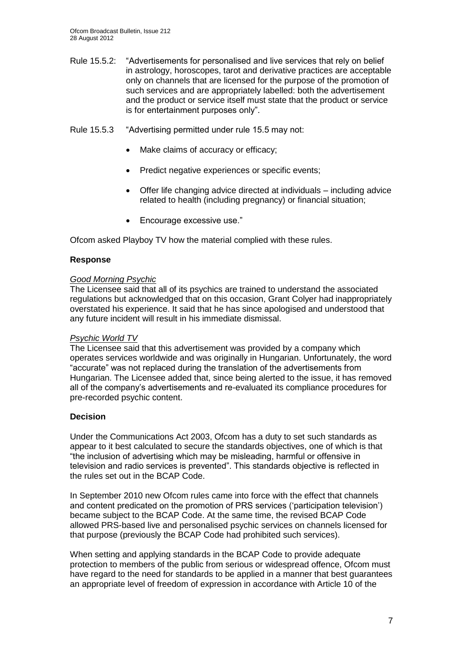- Rule 15.5.2: "Advertisements for personalised and live services that rely on belief in astrology, horoscopes, tarot and derivative practices are acceptable only on channels that are licensed for the purpose of the promotion of such services and are appropriately labelled: both the advertisement and the product or service itself must state that the product or service is for entertainment purposes only".
- Rule 15.5.3 "Advertising permitted under rule 15.5 may not:
	- Make claims of accuracy or efficacy;
	- Predict negative experiences or specific events:
	- Offer life changing advice directed at individuals including advice related to health (including pregnancy) or financial situation;
	- Encourage excessive use."

Ofcom asked Playboy TV how the material complied with these rules.

### **Response**

### *Good Morning Psychic*

The Licensee said that all of its psychics are trained to understand the associated regulations but acknowledged that on this occasion, Grant Colyer had inappropriately overstated his experience. It said that he has since apologised and understood that any future incident will result in his immediate dismissal.

### *Psychic World TV*

The Licensee said that this advertisement was provided by a company which operates services worldwide and was originally in Hungarian. Unfortunately, the word "accurate" was not replaced during the translation of the advertisements from Hungarian. The Licensee added that, since being alerted to the issue, it has removed all of the company's advertisements and re-evaluated its compliance procedures for pre-recorded psychic content.

### **Decision**

Under the Communications Act 2003, Ofcom has a duty to set such standards as appear to it best calculated to secure the standards objectives, one of which is that "the inclusion of advertising which may be misleading, harmful or offensive in television and radio services is prevented". This standards objective is reflected in the rules set out in the BCAP Code.

In September 2010 new Ofcom rules came into force with the effect that channels and content predicated on the promotion of PRS services ('participation television') became subject to the BCAP Code. At the same time, the revised BCAP Code allowed PRS-based live and personalised psychic services on channels licensed for that purpose (previously the BCAP Code had prohibited such services).

When setting and applying standards in the BCAP Code to provide adequate protection to members of the public from serious or widespread offence, Ofcom must have regard to the need for standards to be applied in a manner that best guarantees an appropriate level of freedom of expression in accordance with Article 10 of the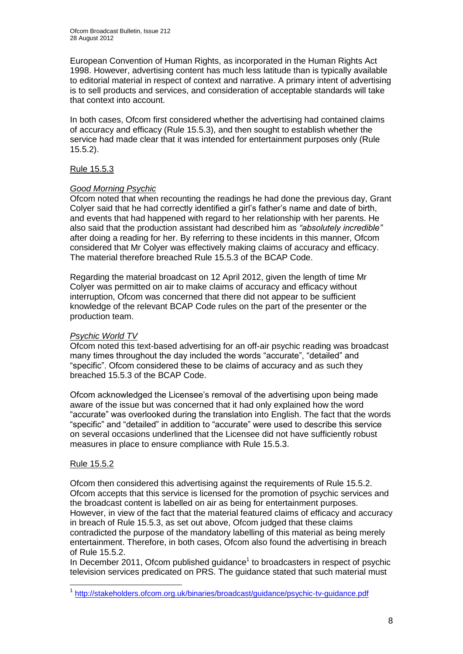European Convention of Human Rights, as incorporated in the Human Rights Act 1998. However, advertising content has much less latitude than is typically available to editorial material in respect of context and narrative. A primary intent of advertising is to sell products and services, and consideration of acceptable standards will take that context into account.

In both cases, Ofcom first considered whether the advertising had contained claims of accuracy and efficacy (Rule 15.5.3), and then sought to establish whether the service had made clear that it was intended for entertainment purposes only (Rule 15.5.2).

### Rule 15.5.3

### *Good Morning Psychic*

Ofcom noted that when recounting the readings he had done the previous day, Grant Colyer said that he had correctly identified a girl's father's name and date of birth, and events that had happened with regard to her relationship with her parents. He also said that the production assistant had described him as *"absolutely incredible"* after doing a reading for her. By referring to these incidents in this manner, Ofcom considered that Mr Colyer was effectively making claims of accuracy and efficacy. The material therefore breached Rule 15.5.3 of the BCAP Code.

Regarding the material broadcast on 12 April 2012, given the length of time Mr Colyer was permitted on air to make claims of accuracy and efficacy without interruption, Ofcom was concerned that there did not appear to be sufficient knowledge of the relevant BCAP Code rules on the part of the presenter or the production team.

### *Psychic World TV*

Ofcom noted this text-based advertising for an off-air psychic reading was broadcast many times throughout the day included the words "accurate", "detailed" and "specific". Ofcom considered these to be claims of accuracy and as such they breached 15.5.3 of the BCAP Code.

Ofcom acknowledged the Licensee's removal of the advertising upon being made aware of the issue but was concerned that it had only explained how the word "accurate" was overlooked during the translation into English. The fact that the words "specific" and "detailed" in addition to "accurate" were used to describe this service on several occasions underlined that the Licensee did not have sufficiently robust measures in place to ensure compliance with Rule 15.5.3.

### Rule 15.5.2

Ofcom then considered this advertising against the requirements of Rule 15.5.2. Ofcom accepts that this service is licensed for the promotion of psychic services and the broadcast content is labelled on air as being for entertainment purposes. However, in view of the fact that the material featured claims of efficacy and accuracy in breach of Rule 15.5.3, as set out above, Ofcom judged that these claims contradicted the purpose of the mandatory labelling of this material as being merely entertainment. Therefore, in both cases, Ofcom also found the advertising in breach of Rule 15.5.2.

In December 2011, Ofcom published guidance<sup>1</sup> to broadcasters in respect of psychic television services predicated on PRS. The guidance stated that such material must

<sup>1</sup> 1 <http://stakeholders.ofcom.org.uk/binaries/broadcast/guidance/psychic-tv-guidance.pdf>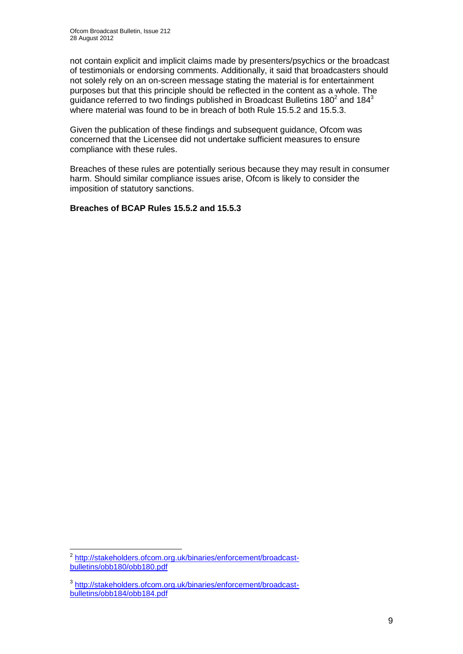not contain explicit and implicit claims made by presenters/psychics or the broadcast of testimonials or endorsing comments. Additionally, it said that broadcasters should not solely rely on an on-screen message stating the material is for entertainment purposes but that this principle should be reflected in the content as a whole. The guidance referred to two findings published in Broadcast Bulletins 180<sup>2</sup> and 184<sup>3</sup> where material was found to be in breach of both Rule 15.5.2 and 15.5.3.

Given the publication of these findings and subsequent guidance, Ofcom was concerned that the Licensee did not undertake sufficient measures to ensure compliance with these rules.

Breaches of these rules are potentially serious because they may result in consumer harm. Should similar compliance issues arise, Ofcom is likely to consider the imposition of statutory sanctions.

### **Breaches of BCAP Rules 15.5.2 and 15.5.3**

 2 [http://stakeholders.ofcom.org.uk/binaries/enforcement/broadcast](http://stakeholders.ofcom.org.uk/binaries/enforcement/broadcast-bulletins/obb180/obb180.pdf)[bulletins/obb180/obb180.pdf](http://stakeholders.ofcom.org.uk/binaries/enforcement/broadcast-bulletins/obb180/obb180.pdf)

<sup>3</sup> [http://stakeholders.ofcom.org.uk/binaries/enforcement/broadcast](http://stakeholders.ofcom.org.uk/binaries/enforcement/broadcast-bulletins/obb184/obb184.pdf)[bulletins/obb184/obb184.pdf](http://stakeholders.ofcom.org.uk/binaries/enforcement/broadcast-bulletins/obb184/obb184.pdf)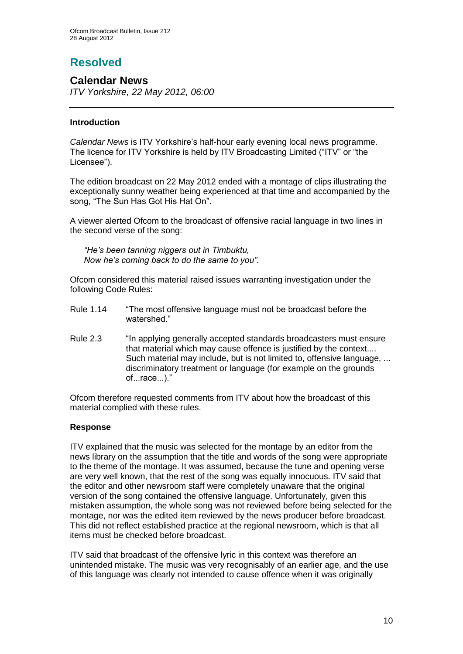# **Resolved**

### **Calendar News**

*ITV Yorkshire, 22 May 2012, 06:00*

### **Introduction**

*Calendar News* is ITV Yorkshire's half-hour early evening local news programme. The licence for ITV Yorkshire is held by ITV Broadcasting Limited ("ITV" or "the Licensee").

The edition broadcast on 22 May 2012 ended with a montage of clips illustrating the exceptionally sunny weather being experienced at that time and accompanied by the song, "The Sun Has Got His Hat On".

A viewer alerted Ofcom to the broadcast of offensive racial language in two lines in the second verse of the song:

*"He's been tanning niggers out in Timbuktu, Now he's coming back to do the same to you".*

Ofcom considered this material raised issues warranting investigation under the following Code Rules:

- Rule 1.14 "The most offensive language must not be broadcast before the watershed."
- Rule 2.3 "In applying generally accepted standards broadcasters must ensure that material which may cause offence is justified by the context.... Such material may include, but is not limited to, offensive language, ... discriminatory treatment or language (for example on the grounds of...race...)."

Ofcom therefore requested comments from ITV about how the broadcast of this material complied with these rules.

### **Response**

ITV explained that the music was selected for the montage by an editor from the news library on the assumption that the title and words of the song were appropriate to the theme of the montage. It was assumed, because the tune and opening verse are very well known, that the rest of the song was equally innocuous. ITV said that the editor and other newsroom staff were completely unaware that the original version of the song contained the offensive language. Unfortunately, given this mistaken assumption, the whole song was not reviewed before being selected for the montage, nor was the edited item reviewed by the news producer before broadcast. This did not reflect established practice at the regional newsroom, which is that all items must be checked before broadcast.

ITV said that broadcast of the offensive lyric in this context was therefore an unintended mistake. The music was very recognisably of an earlier age, and the use of this language was clearly not intended to cause offence when it was originally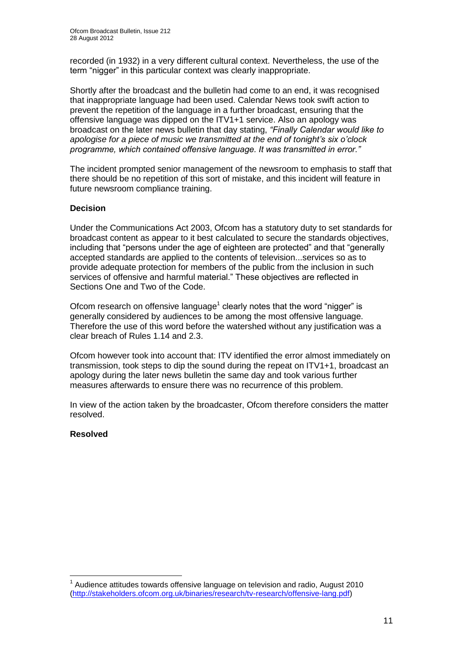recorded (in 1932) in a very different cultural context. Nevertheless, the use of the term "nigger" in this particular context was clearly inappropriate.

Shortly after the broadcast and the bulletin had come to an end, it was recognised that inappropriate language had been used. Calendar News took swift action to prevent the repetition of the language in a further broadcast, ensuring that the offensive language was dipped on the ITV1+1 service. Also an apology was broadcast on the later news bulletin that day stating, *"Finally Calendar would like to apologise for a piece of music we transmitted at the end of tonight's six o'clock programme, which contained offensive language. It was transmitted in error."* 

The incident prompted senior management of the newsroom to emphasis to staff that there should be no repetition of this sort of mistake, and this incident will feature in future newsroom compliance training.

### **Decision**

Under the Communications Act 2003, Ofcom has a statutory duty to set standards for broadcast content as appear to it best calculated to secure the standards objectives, including that "persons under the age of eighteen are protected" and that "generally accepted standards are applied to the contents of television...services so as to provide adequate protection for members of the public from the inclusion in such services of offensive and harmful material." These objectives are reflected in Sections One and Two of the Code.

Ofcom research on offensive language<sup>1</sup> clearly notes that the word "nigger" is generally considered by audiences to be among the most offensive language. Therefore the use of this word before the watershed without any justification was a clear breach of Rules 1.14 and 2.3.

Ofcom however took into account that: ITV identified the error almost immediately on transmission, took steps to dip the sound during the repeat on ITV1+1, broadcast an apology during the later news bulletin the same day and took various further measures afterwards to ensure there was no recurrence of this problem.

In view of the action taken by the broadcaster, Ofcom therefore considers the matter resolved.

### **Resolved**

1

 $1$  Audience attitudes towards offensive language on television and radio, August 2010 [\(http://stakeholders.ofcom.org.uk/binaries/research/tv-research/offensive-lang.pdf\)](http://stakeholders.ofcom.org.uk/binaries/research/tv-research/offensive-lang.pdf)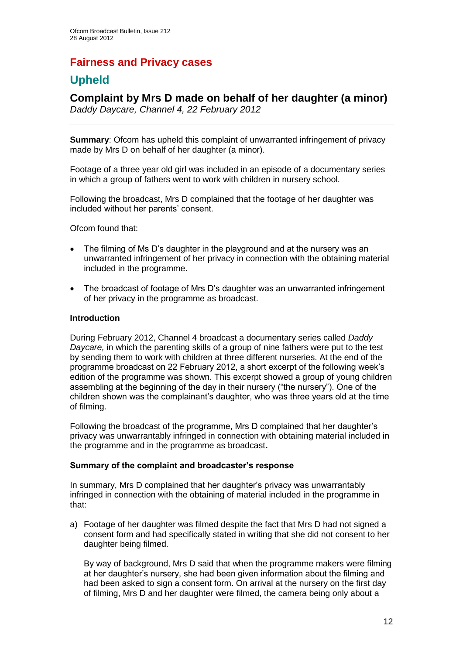# **Fairness and Privacy cases**

# **Upheld**

# **Complaint by Mrs D made on behalf of her daughter (a minor)**

*Daddy Daycare, Channel 4, 22 February 2012*

**Summary**: Ofcom has upheld this complaint of unwarranted infringement of privacy made by Mrs D on behalf of her daughter (a minor).

Footage of a three year old girl was included in an episode of a documentary series in which a group of fathers went to work with children in nursery school.

Following the broadcast, Mrs D complained that the footage of her daughter was included without her parents' consent.

Ofcom found that:

- The filming of Ms D's daughter in the playground and at the nursery was an unwarranted infringement of her privacy in connection with the obtaining material included in the programme.
- The broadcast of footage of Mrs D's daughter was an unwarranted infringement of her privacy in the programme as broadcast.

### **Introduction**

During February 2012, Channel 4 broadcast a documentary series called *Daddy Daycare,* in which the parenting skills of a group of nine fathers were put to the test by sending them to work with children at three different nurseries. At the end of the programme broadcast on 22 February 2012, a short excerpt of the following week's edition of the programme was shown. This excerpt showed a group of young children assembling at the beginning of the day in their nursery ("the nursery"). One of the children shown was the complainant's daughter, who was three years old at the time of filming.

Following the broadcast of the programme, Mrs D complained that her daughter's privacy was unwarrantably infringed in connection with obtaining material included in the programme and in the programme as broadcast**.**

### **Summary of the complaint and broadcaster's response**

In summary, Mrs D complained that her daughter's privacy was unwarrantably infringed in connection with the obtaining of material included in the programme in that:

a) Footage of her daughter was filmed despite the fact that Mrs D had not signed a consent form and had specifically stated in writing that she did not consent to her daughter being filmed.

By way of background, Mrs D said that when the programme makers were filming at her daughter's nursery, she had been given information about the filming and had been asked to sign a consent form. On arrival at the nursery on the first day of filming, Mrs D and her daughter were filmed, the camera being only about a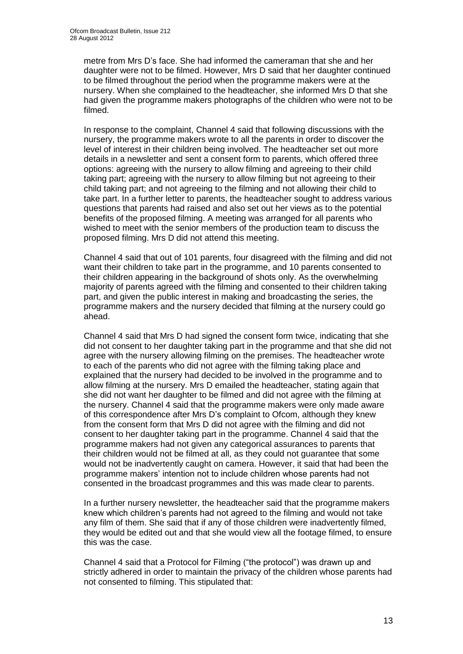metre from Mrs D's face. She had informed the cameraman that she and her daughter were not to be filmed. However, Mrs D said that her daughter continued to be filmed throughout the period when the programme makers were at the nursery. When she complained to the headteacher, she informed Mrs D that she had given the programme makers photographs of the children who were not to be filmed.

In response to the complaint, Channel 4 said that following discussions with the nursery, the programme makers wrote to all the parents in order to discover the level of interest in their children being involved. The headteacher set out more details in a newsletter and sent a consent form to parents, which offered three options: agreeing with the nursery to allow filming and agreeing to their child taking part; agreeing with the nursery to allow filming but not agreeing to their child taking part; and not agreeing to the filming and not allowing their child to take part. In a further letter to parents, the headteacher sought to address various questions that parents had raised and also set out her views as to the potential benefits of the proposed filming. A meeting was arranged for all parents who wished to meet with the senior members of the production team to discuss the proposed filming. Mrs D did not attend this meeting.

Channel 4 said that out of 101 parents, four disagreed with the filming and did not want their children to take part in the programme, and 10 parents consented to their children appearing in the background of shots only. As the overwhelming majority of parents agreed with the filming and consented to their children taking part, and given the public interest in making and broadcasting the series, the programme makers and the nursery decided that filming at the nursery could go ahead.

Channel 4 said that Mrs D had signed the consent form twice, indicating that she did not consent to her daughter taking part in the programme and that she did not agree with the nursery allowing filming on the premises. The headteacher wrote to each of the parents who did not agree with the filming taking place and explained that the nursery had decided to be involved in the programme and to allow filming at the nursery. Mrs D emailed the headteacher, stating again that she did not want her daughter to be filmed and did not agree with the filming at the nursery. Channel 4 said that the programme makers were only made aware of this correspondence after Mrs D's complaint to Ofcom, although they knew from the consent form that Mrs D did not agree with the filming and did not consent to her daughter taking part in the programme. Channel 4 said that the programme makers had not given any categorical assurances to parents that their children would not be filmed at all, as they could not guarantee that some would not be inadvertently caught on camera. However, it said that had been the programme makers' intention not to include children whose parents had not consented in the broadcast programmes and this was made clear to parents.

In a further nursery newsletter, the headteacher said that the programme makers knew which children's parents had not agreed to the filming and would not take any film of them. She said that if any of those children were inadvertently filmed, they would be edited out and that she would view all the footage filmed, to ensure this was the case.

Channel 4 said that a Protocol for Filming ("the protocol") was drawn up and strictly adhered in order to maintain the privacy of the children whose parents had not consented to filming. This stipulated that: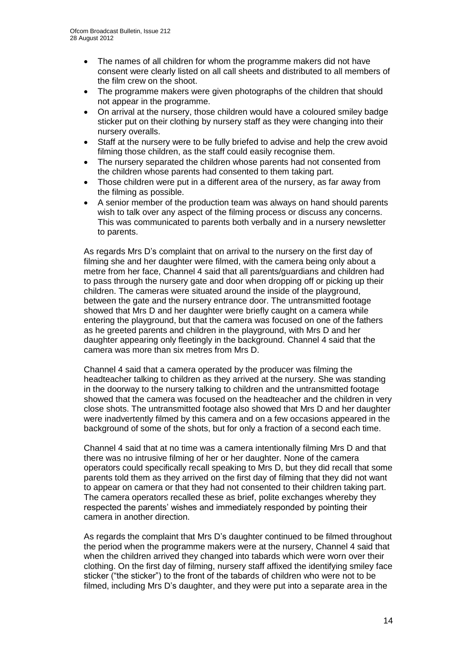- The names of all children for whom the programme makers did not have consent were clearly listed on all call sheets and distributed to all members of the film crew on the shoot.
- The programme makers were given photographs of the children that should not appear in the programme.
- On arrival at the nursery, those children would have a coloured smiley badge sticker put on their clothing by nursery staff as they were changing into their nursery overalls.
- Staff at the nursery were to be fully briefed to advise and help the crew avoid filming those children, as the staff could easily recognise them.
- The nursery separated the children whose parents had not consented from the children whose parents had consented to them taking part.
- Those children were put in a different area of the nursery, as far away from the filming as possible.
- A senior member of the production team was always on hand should parents wish to talk over any aspect of the filming process or discuss any concerns. This was communicated to parents both verbally and in a nursery newsletter to parents.

As regards Mrs D's complaint that on arrival to the nursery on the first day of filming she and her daughter were filmed, with the camera being only about a metre from her face, Channel 4 said that all parents/guardians and children had to pass through the nursery gate and door when dropping off or picking up their children. The cameras were situated around the inside of the playground, between the gate and the nursery entrance door. The untransmitted footage showed that Mrs D and her daughter were briefly caught on a camera while entering the playground, but that the camera was focused on one of the fathers as he greeted parents and children in the playground, with Mrs D and her daughter appearing only fleetingly in the background. Channel 4 said that the camera was more than six metres from Mrs D.

Channel 4 said that a camera operated by the producer was filming the headteacher talking to children as they arrived at the nursery. She was standing in the doorway to the nursery talking to children and the untransmitted footage showed that the camera was focused on the headteacher and the children in very close shots. The untransmitted footage also showed that Mrs D and her daughter were inadvertently filmed by this camera and on a few occasions appeared in the background of some of the shots, but for only a fraction of a second each time.

Channel 4 said that at no time was a camera intentionally filming Mrs D and that there was no intrusive filming of her or her daughter. None of the camera operators could specifically recall speaking to Mrs D, but they did recall that some parents told them as they arrived on the first day of filming that they did not want to appear on camera or that they had not consented to their children taking part. The camera operators recalled these as brief, polite exchanges whereby they respected the parents' wishes and immediately responded by pointing their camera in another direction.

As regards the complaint that Mrs D's daughter continued to be filmed throughout the period when the programme makers were at the nursery, Channel 4 said that when the children arrived they changed into tabards which were worn over their clothing. On the first day of filming, nursery staff affixed the identifying smiley face sticker ("the sticker") to the front of the tabards of children who were not to be filmed, including Mrs D's daughter, and they were put into a separate area in the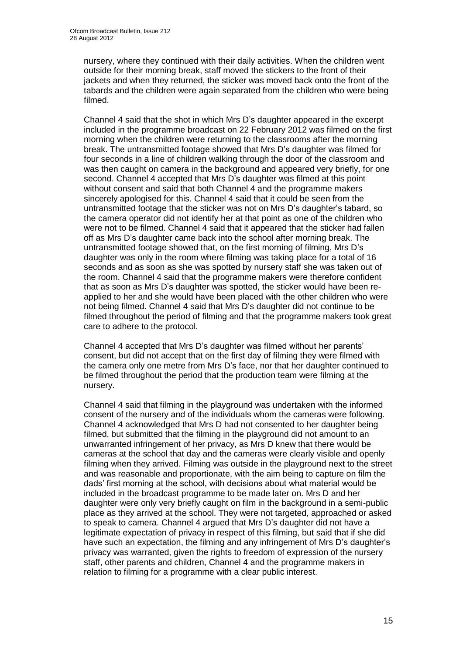nursery, where they continued with their daily activities. When the children went outside for their morning break, staff moved the stickers to the front of their jackets and when they returned, the sticker was moved back onto the front of the tabards and the children were again separated from the children who were being filmed.

Channel 4 said that the shot in which Mrs D's daughter appeared in the excerpt included in the programme broadcast on 22 February 2012 was filmed on the first morning when the children were returning to the classrooms after the morning break. The untransmitted footage showed that Mrs D's daughter was filmed for four seconds in a line of children walking through the door of the classroom and was then caught on camera in the background and appeared very briefly, for one second. Channel 4 accepted that Mrs D's daughter was filmed at this point without consent and said that both Channel 4 and the programme makers sincerely apologised for this. Channel 4 said that it could be seen from the untransmitted footage that the sticker was not on Mrs D's daughter's tabard, so the camera operator did not identify her at that point as one of the children who were not to be filmed. Channel 4 said that it appeared that the sticker had fallen off as Mrs D's daughter came back into the school after morning break. The untransmitted footage showed that, on the first morning of filming, Mrs D's daughter was only in the room where filming was taking place for a total of 16 seconds and as soon as she was spotted by nursery staff she was taken out of the room. Channel 4 said that the programme makers were therefore confident that as soon as Mrs D's daughter was spotted, the sticker would have been reapplied to her and she would have been placed with the other children who were not being filmed. Channel 4 said that Mrs D's daughter did not continue to be filmed throughout the period of filming and that the programme makers took great care to adhere to the protocol.

Channel 4 accepted that Mrs D's daughter was filmed without her parents' consent, but did not accept that on the first day of filming they were filmed with the camera only one metre from Mrs D's face, nor that her daughter continued to be filmed throughout the period that the production team were filming at the nursery.

Channel 4 said that filming in the playground was undertaken with the informed consent of the nursery and of the individuals whom the cameras were following. Channel 4 acknowledged that Mrs D had not consented to her daughter being filmed, but submitted that the filming in the playground did not amount to an unwarranted infringement of her privacy, as Mrs D knew that there would be cameras at the school that day and the cameras were clearly visible and openly filming when they arrived. Filming was outside in the playground next to the street and was reasonable and proportionate, with the aim being to capture on film the dads' first morning at the school, with decisions about what material would be included in the broadcast programme to be made later on. Mrs D and her daughter were only very briefly caught on film in the background in a semi-public place as they arrived at the school. They were not targeted, approached or asked to speak to camera. Channel 4 argued that Mrs D's daughter did not have a legitimate expectation of privacy in respect of this filming, but said that if she did have such an expectation, the filming and any infringement of Mrs D's daughter's privacy was warranted, given the rights to freedom of expression of the nursery staff, other parents and children, Channel 4 and the programme makers in relation to filming for a programme with a clear public interest.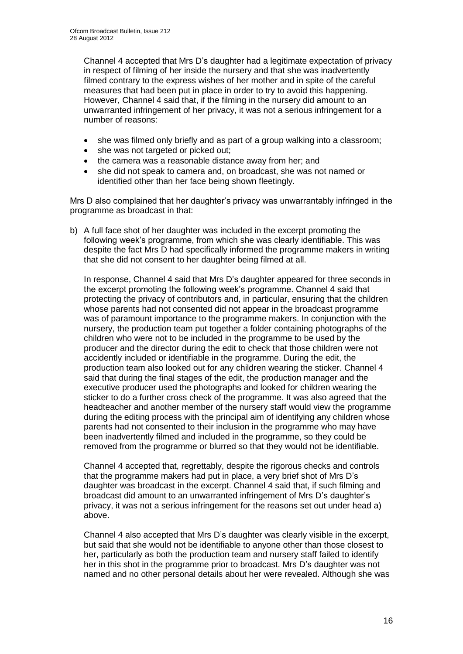Channel 4 accepted that Mrs D's daughter had a legitimate expectation of privacy in respect of filming of her inside the nursery and that she was inadvertently filmed contrary to the express wishes of her mother and in spite of the careful measures that had been put in place in order to try to avoid this happening. However, Channel 4 said that, if the filming in the nursery did amount to an unwarranted infringement of her privacy, it was not a serious infringement for a number of reasons:

- she was filmed only briefly and as part of a group walking into a classroom;
- she was not targeted or picked out:
- the camera was a reasonable distance away from her; and
- she did not speak to camera and, on broadcast, she was not named or identified other than her face being shown fleetingly.

Mrs D also complained that her daughter's privacy was unwarrantably infringed in the programme as broadcast in that:

b) A full face shot of her daughter was included in the excerpt promoting the following week's programme, from which she was clearly identifiable. This was despite the fact Mrs D had specifically informed the programme makers in writing that she did not consent to her daughter being filmed at all.

In response, Channel 4 said that Mrs D's daughter appeared for three seconds in the excerpt promoting the following week's programme. Channel 4 said that protecting the privacy of contributors and, in particular, ensuring that the children whose parents had not consented did not appear in the broadcast programme was of paramount importance to the programme makers. In conjunction with the nursery, the production team put together a folder containing photographs of the children who were not to be included in the programme to be used by the producer and the director during the edit to check that those children were not accidently included or identifiable in the programme. During the edit, the production team also looked out for any children wearing the sticker. Channel 4 said that during the final stages of the edit, the production manager and the executive producer used the photographs and looked for children wearing the sticker to do a further cross check of the programme. It was also agreed that the headteacher and another member of the nursery staff would view the programme during the editing process with the principal aim of identifying any children whose parents had not consented to their inclusion in the programme who may have been inadvertently filmed and included in the programme, so they could be removed from the programme or blurred so that they would not be identifiable.

Channel 4 accepted that, regrettably, despite the rigorous checks and controls that the programme makers had put in place, a very brief shot of Mrs D's daughter was broadcast in the excerpt. Channel 4 said that, if such filming and broadcast did amount to an unwarranted infringement of Mrs D's daughter's privacy, it was not a serious infringement for the reasons set out under head a) above.

Channel 4 also accepted that Mrs D's daughter was clearly visible in the excerpt, but said that she would not be identifiable to anyone other than those closest to her, particularly as both the production team and nursery staff failed to identify her in this shot in the programme prior to broadcast. Mrs D's daughter was not named and no other personal details about her were revealed. Although she was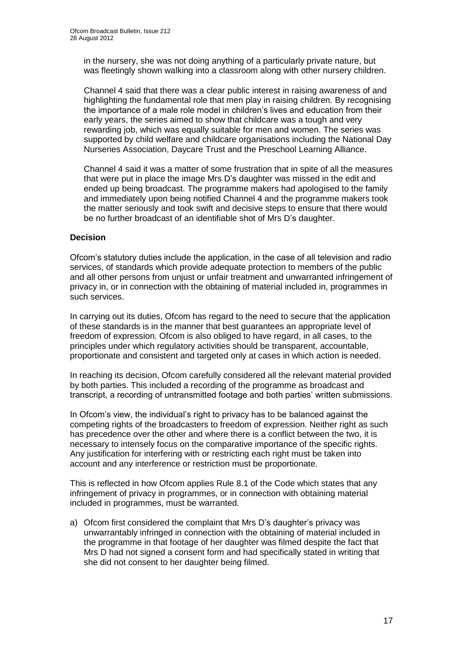in the nursery, she was not doing anything of a particularly private nature, but was fleetingly shown walking into a classroom along with other nursery children.

Channel 4 said that there was a clear public interest in raising awareness of and highlighting the fundamental role that men play in raising children. By recognising the importance of a male role model in children's lives and education from their early years, the series aimed to show that childcare was a tough and very rewarding job, which was equally suitable for men and women. The series was supported by child welfare and childcare organisations including the National Day Nurseries Association, Daycare Trust and the Preschool Learning Alliance.

Channel 4 said it was a matter of some frustration that in spite of all the measures that were put in place the image Mrs D's daughter was missed in the edit and ended up being broadcast. The programme makers had apologised to the family and immediately upon being notified Channel 4 and the programme makers took the matter seriously and took swift and decisive steps to ensure that there would be no further broadcast of an identifiable shot of Mrs D's daughter.

### **Decision**

Ofcom's statutory duties include the application, in the case of all television and radio services, of standards which provide adequate protection to members of the public and all other persons from unjust or unfair treatment and unwarranted infringement of privacy in, or in connection with the obtaining of material included in, programmes in such services.

In carrying out its duties, Ofcom has regard to the need to secure that the application of these standards is in the manner that best guarantees an appropriate level of freedom of expression. Ofcom is also obliged to have regard, in all cases, to the principles under which regulatory activities should be transparent, accountable, proportionate and consistent and targeted only at cases in which action is needed.

In reaching its decision, Ofcom carefully considered all the relevant material provided by both parties. This included a recording of the programme as broadcast and transcript, a recording of untransmitted footage and both parties' written submissions.

In Ofcom's view, the individual's right to privacy has to be balanced against the competing rights of the broadcasters to freedom of expression. Neither right as such has precedence over the other and where there is a conflict between the two, it is necessary to intensely focus on the comparative importance of the specific rights. Any justification for interfering with or restricting each right must be taken into account and any interference or restriction must be proportionate.

This is reflected in how Ofcom applies Rule 8.1 of the Code which states that any infringement of privacy in programmes, or in connection with obtaining material included in programmes, must be warranted.

a) Ofcom first considered the complaint that Mrs D's daughter's privacy was unwarrantably infringed in connection with the obtaining of material included in the programme in that footage of her daughter was filmed despite the fact that Mrs D had not signed a consent form and had specifically stated in writing that she did not consent to her daughter being filmed.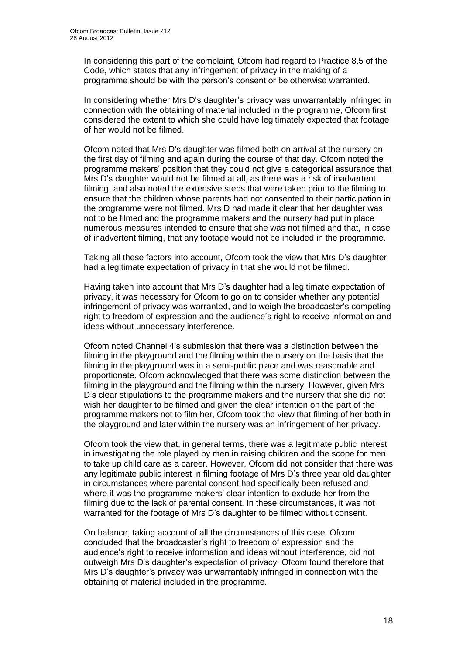In considering this part of the complaint, Ofcom had regard to Practice 8.5 of the Code, which states that any infringement of privacy in the making of a programme should be with the person's consent or be otherwise warranted.

In considering whether Mrs D's daughter's privacy was unwarrantably infringed in connection with the obtaining of material included in the programme, Ofcom first considered the extent to which she could have legitimately expected that footage of her would not be filmed.

Ofcom noted that Mrs D's daughter was filmed both on arrival at the nursery on the first day of filming and again during the course of that day. Ofcom noted the programme makers' position that they could not give a categorical assurance that Mrs D's daughter would not be filmed at all, as there was a risk of inadvertent filming, and also noted the extensive steps that were taken prior to the filming to ensure that the children whose parents had not consented to their participation in the programme were not filmed. Mrs D had made it clear that her daughter was not to be filmed and the programme makers and the nursery had put in place numerous measures intended to ensure that she was not filmed and that, in case of inadvertent filming, that any footage would not be included in the programme.

Taking all these factors into account, Ofcom took the view that Mrs D's daughter had a legitimate expectation of privacy in that she would not be filmed.

Having taken into account that Mrs D's daughter had a legitimate expectation of privacy, it was necessary for Ofcom to go on to consider whether any potential infringement of privacy was warranted, and to weigh the broadcaster's competing right to freedom of expression and the audience's right to receive information and ideas without unnecessary interference.

Ofcom noted Channel 4's submission that there was a distinction between the filming in the playground and the filming within the nursery on the basis that the filming in the playground was in a semi-public place and was reasonable and proportionate. Ofcom acknowledged that there was some distinction between the filming in the playground and the filming within the nursery. However, given Mrs D's clear stipulations to the programme makers and the nursery that she did not wish her daughter to be filmed and given the clear intention on the part of the programme makers not to film her, Ofcom took the view that filming of her both in the playground and later within the nursery was an infringement of her privacy.

Ofcom took the view that, in general terms, there was a legitimate public interest in investigating the role played by men in raising children and the scope for men to take up child care as a career. However, Ofcom did not consider that there was any legitimate public interest in filming footage of Mrs D's three year old daughter in circumstances where parental consent had specifically been refused and where it was the programme makers' clear intention to exclude her from the filming due to the lack of parental consent. In these circumstances, it was not warranted for the footage of Mrs D's daughter to be filmed without consent.

On balance, taking account of all the circumstances of this case, Ofcom concluded that the broadcaster's right to freedom of expression and the audience's right to receive information and ideas without interference, did not outweigh Mrs D's daughter's expectation of privacy. Ofcom found therefore that Mrs D's daughter's privacy was unwarrantably infringed in connection with the obtaining of material included in the programme.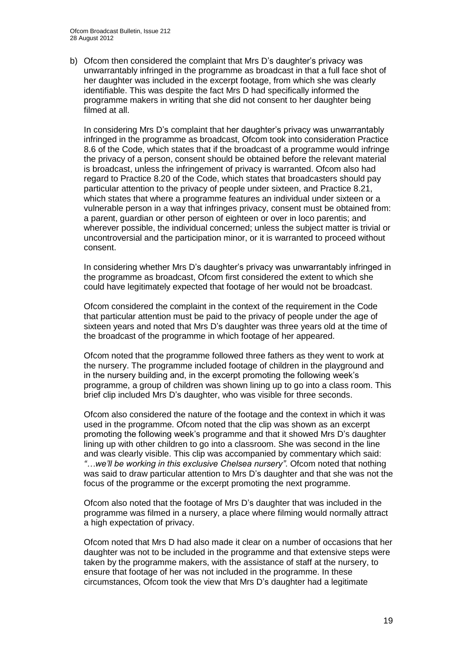b) Ofcom then considered the complaint that Mrs D's daughter's privacy was unwarrantably infringed in the programme as broadcast in that a full face shot of her daughter was included in the excerpt footage, from which she was clearly identifiable. This was despite the fact Mrs D had specifically informed the programme makers in writing that she did not consent to her daughter being filmed at all.

In considering Mrs D's complaint that her daughter's privacy was unwarrantably infringed in the programme as broadcast, Ofcom took into consideration Practice 8.6 of the Code, which states that if the broadcast of a programme would infringe the privacy of a person, consent should be obtained before the relevant material is broadcast, unless the infringement of privacy is warranted. Ofcom also had regard to Practice 8.20 of the Code, which states that broadcasters should pay particular attention to the privacy of people under sixteen, and Practice 8.21, which states that where a programme features an individual under sixteen or a vulnerable person in a way that infringes privacy, consent must be obtained from: a parent, guardian or other person of eighteen or over in loco parentis; and wherever possible, the individual concerned; unless the subject matter is trivial or uncontroversial and the participation minor, or it is warranted to proceed without consent.

In considering whether Mrs D's daughter's privacy was unwarrantably infringed in the programme as broadcast, Ofcom first considered the extent to which she could have legitimately expected that footage of her would not be broadcast.

Ofcom considered the complaint in the context of the requirement in the Code that particular attention must be paid to the privacy of people under the age of sixteen years and noted that Mrs D's daughter was three years old at the time of the broadcast of the programme in which footage of her appeared.

Ofcom noted that the programme followed three fathers as they went to work at the nursery. The programme included footage of children in the playground and in the nursery building and, in the excerpt promoting the following week's programme, a group of children was shown lining up to go into a class room. This brief clip included Mrs D's daughter, who was visible for three seconds.

Ofcom also considered the nature of the footage and the context in which it was used in the programme. Ofcom noted that the clip was shown as an excerpt promoting the following week's programme and that it showed Mrs D's daughter lining up with other children to go into a classroom. She was second in the line and was clearly visible. This clip was accompanied by commentary which said: *"…we'll be working in this exclusive Chelsea nursery"*. Ofcom noted that nothing was said to draw particular attention to Mrs D's daughter and that she was not the focus of the programme or the excerpt promoting the next programme.

Ofcom also noted that the footage of Mrs D's daughter that was included in the programme was filmed in a nursery, a place where filming would normally attract a high expectation of privacy.

Ofcom noted that Mrs D had also made it clear on a number of occasions that her daughter was not to be included in the programme and that extensive steps were taken by the programme makers, with the assistance of staff at the nursery, to ensure that footage of her was not included in the programme. In these circumstances, Ofcom took the view that Mrs D's daughter had a legitimate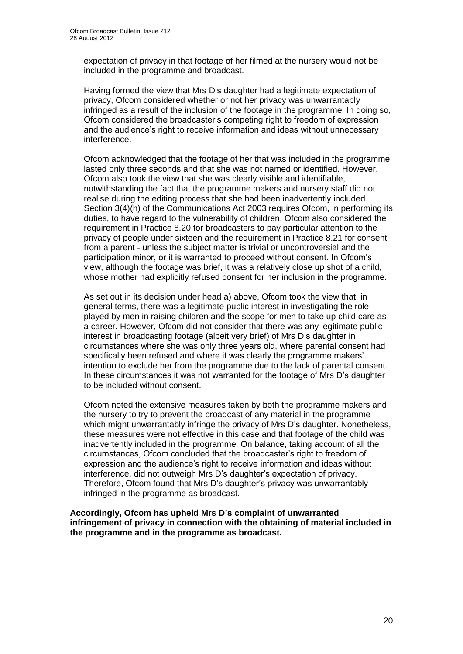expectation of privacy in that footage of her filmed at the nursery would not be included in the programme and broadcast.

Having formed the view that Mrs D's daughter had a legitimate expectation of privacy, Ofcom considered whether or not her privacy was unwarrantably infringed as a result of the inclusion of the footage in the programme. In doing so, Ofcom considered the broadcaster's competing right to freedom of expression and the audience's right to receive information and ideas without unnecessary interference.

Ofcom acknowledged that the footage of her that was included in the programme lasted only three seconds and that she was not named or identified. However, Ofcom also took the view that she was clearly visible and identifiable, notwithstanding the fact that the programme makers and nursery staff did not realise during the editing process that she had been inadvertently included. Section 3(4)(h) of the Communications Act 2003 requires Ofcom, in performing its duties, to have regard to the vulnerability of children. Ofcom also considered the requirement in Practice 8.20 for broadcasters to pay particular attention to the privacy of people under sixteen and the requirement in Practice 8.21 for consent from a parent - unless the subject matter is trivial or uncontroversial and the participation minor, or it is warranted to proceed without consent. In Ofcom's view, although the footage was brief, it was a relatively close up shot of a child, whose mother had explicitly refused consent for her inclusion in the programme.

As set out in its decision under head a) above, Ofcom took the view that, in general terms, there was a legitimate public interest in investigating the role played by men in raising children and the scope for men to take up child care as a career. However, Ofcom did not consider that there was any legitimate public interest in broadcasting footage (albeit very brief) of Mrs D's daughter in circumstances where she was only three years old, where parental consent had specifically been refused and where it was clearly the programme makers' intention to exclude her from the programme due to the lack of parental consent. In these circumstances it was not warranted for the footage of Mrs D's daughter to be included without consent.

Ofcom noted the extensive measures taken by both the programme makers and the nursery to try to prevent the broadcast of any material in the programme which might unwarrantably infringe the privacy of Mrs D's daughter. Nonetheless, these measures were not effective in this case and that footage of the child was inadvertently included in the programme. On balance, taking account of all the circumstances, Ofcom concluded that the broadcaster's right to freedom of expression and the audience's right to receive information and ideas without interference, did not outweigh Mrs D's daughter's expectation of privacy. Therefore, Ofcom found that Mrs D's daughter's privacy was unwarrantably infringed in the programme as broadcast.

**Accordingly, Ofcom has upheld Mrs D's complaint of unwarranted infringement of privacy in connection with the obtaining of material included in the programme and in the programme as broadcast.**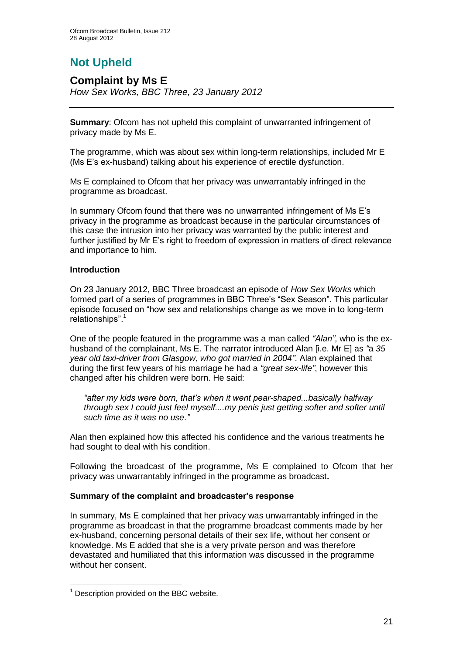# **Not Upheld**

### **Complaint by Ms E** *How Sex Works, BBC Three, 23 January 2012*

**Summary**: Ofcom has not upheld this complaint of unwarranted infringement of privacy made by Ms E.

The programme, which was about sex within long-term relationships, included Mr E (Ms E's ex-husband) talking about his experience of erectile dysfunction.

Ms E complained to Ofcom that her privacy was unwarrantably infringed in the programme as broadcast.

In summary Ofcom found that there was no unwarranted infringement of Ms E's privacy in the programme as broadcast because in the particular circumstances of this case the intrusion into her privacy was warranted by the public interest and further justified by Mr E's right to freedom of expression in matters of direct relevance and importance to him.

### **Introduction**

On 23 January 2012, BBC Three broadcast an episode of *How Sex Works* which formed part of a series of programmes in BBC Three's "Sex Season". This particular episode focused on "how sex and relationships change as we move in to long-term relationships".<sup>1</sup>

One of the people featured in the programme was a man called *"Alan"*, who is the exhusband of the complainant, Ms E. The narrator introduced Alan [i.e. Mr E] as *"*a *35 year old taxi-driver from Glasgow, who got married in 2004"*. Alan explained that during the first few years of his marriage he had a *"great sex-life"*, however this changed after his children were born. He said:

*"after my kids were born, that's when it went pear-shaped...basically halfway through sex I could just feel myself....my penis just getting softer and softer until such time as it was no use*.*"*

Alan then explained how this affected his confidence and the various treatments he had sought to deal with his condition.

Following the broadcast of the programme, Ms E complained to Ofcom that her privacy was unwarrantably infringed in the programme as broadcast**.**

### **Summary of the complaint and broadcaster's response**

In summary, Ms E complained that her privacy was unwarrantably infringed in the programme as broadcast in that the programme broadcast comments made by her ex-husband, concerning personal details of their sex life, without her consent or knowledge. Ms E added that she is a very private person and was therefore devastated and humiliated that this information was discussed in the programme without her consent.

1

 $1$  Description provided on the BBC website.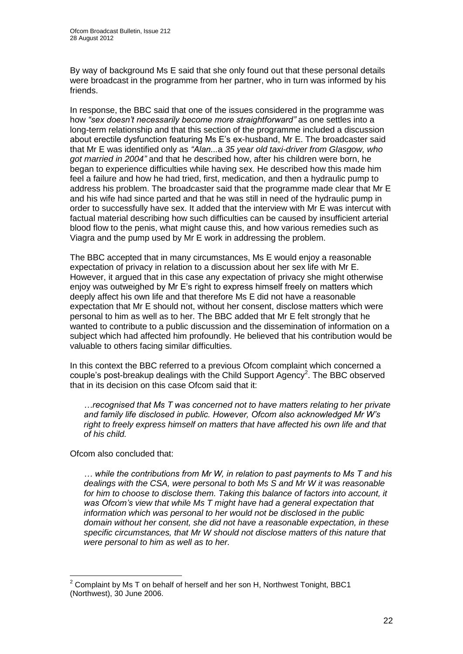By way of background Ms E said that she only found out that these personal details were broadcast in the programme from her partner, who in turn was informed by his friends.

In response, the BBC said that one of the issues considered in the programme was how *"sex doesn't necessarily become more straightforward"* as one settles into a long-term relationship and that this section of the programme included a discussion about erectile dysfunction featuring Ms E's ex-husband, Mr E. The broadcaster said that Mr E was identified only as *"Alan...*a *35 year old taxi-driver from Glasgow, who got married in 2004"* and that he described how, after his children were born, he began to experience difficulties while having sex. He described how this made him feel a failure and how he had tried, first, medication, and then a hydraulic pump to address his problem. The broadcaster said that the programme made clear that Mr E and his wife had since parted and that he was still in need of the hydraulic pump in order to successfully have sex. It added that the interview with Mr E was intercut with factual material describing how such difficulties can be caused by insufficient arterial blood flow to the penis, what might cause this, and how various remedies such as Viagra and the pump used by Mr E work in addressing the problem.

The BBC accepted that in many circumstances, Ms E would enjoy a reasonable expectation of privacy in relation to a discussion about her sex life with Mr E. However, it argued that in this case any expectation of privacy she might otherwise enjoy was outweighed by Mr E's right to express himself freely on matters which deeply affect his own life and that therefore Ms E did not have a reasonable expectation that Mr E should not, without her consent, disclose matters which were personal to him as well as to her. The BBC added that Mr E felt strongly that he wanted to contribute to a public discussion and the dissemination of information on a subject which had affected him profoundly. He believed that his contribution would be valuable to others facing similar difficulties.

In this context the BBC referred to a previous Ofcom complaint which concerned a couple's post-breakup dealings with the Child Support Agency<sup>2</sup>. The BBC observed that in its decision on this case Ofcom said that it:

*…recognised that Ms T was concerned not to have matters relating to her private and family life disclosed in public. However, Ofcom also acknowledged Mr W's right to freely express himself on matters that have affected his own life and that of his child.* 

Ofcom also concluded that:

1

*… while the contributions from Mr W, in relation to past payments to Ms T and his dealings with the CSA, were personal to both Ms S and Mr W it was reasonable*  for him to choose to disclose them. Taking this balance of factors into account, it *was Ofcom's view that while Ms T might have had a general expectation that information which was personal to her would not be disclosed in the public domain without her consent, she did not have a reasonable expectation, in these specific circumstances, that Mr W should not disclose matters of this nature that were personal to him as well as to her.* 

 $2$  Complaint by Ms T on behalf of herself and her son H, Northwest Tonight, BBC1 (Northwest), 30 June 2006.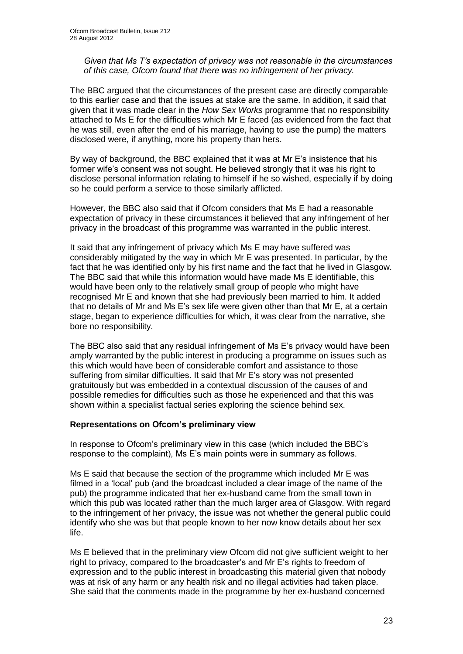*Given that Ms T's expectation of privacy was not reasonable in the circumstances of this case, Ofcom found that there was no infringement of her privacy.*

The BBC argued that the circumstances of the present case are directly comparable to this earlier case and that the issues at stake are the same. In addition, it said that given that it was made clear in the *How Sex Works* programme that no responsibility attached to Ms E for the difficulties which Mr E faced (as evidenced from the fact that he was still, even after the end of his marriage, having to use the pump) the matters disclosed were, if anything, more his property than hers.

By way of background, the BBC explained that it was at Mr E's insistence that his former wife's consent was not sought. He believed strongly that it was his right to disclose personal information relating to himself if he so wished, especially if by doing so he could perform a service to those similarly afflicted.

However, the BBC also said that if Ofcom considers that Ms E had a reasonable expectation of privacy in these circumstances it believed that any infringement of her privacy in the broadcast of this programme was warranted in the public interest.

It said that any infringement of privacy which Ms E may have suffered was considerably mitigated by the way in which Mr E was presented. In particular, by the fact that he was identified only by his first name and the fact that he lived in Glasgow. The BBC said that while this information would have made Ms E identifiable, this would have been only to the relatively small group of people who might have recognised Mr E and known that she had previously been married to him. It added that no details of Mr and Ms E's sex life were given other than that Mr E, at a certain stage, began to experience difficulties for which, it was clear from the narrative, she bore no responsibility.

The BBC also said that any residual infringement of Ms E's privacy would have been amply warranted by the public interest in producing a programme on issues such as this which would have been of considerable comfort and assistance to those suffering from similar difficulties. It said that Mr E's story was not presented gratuitously but was embedded in a contextual discussion of the causes of and possible remedies for difficulties such as those he experienced and that this was shown within a specialist factual series exploring the science behind sex.

### **Representations on Ofcom's preliminary view**

In response to Ofcom's preliminary view in this case (which included the BBC's response to the complaint), Ms E's main points were in summary as follows.

Ms E said that because the section of the programme which included Mr E was filmed in a 'local' pub (and the broadcast included a clear image of the name of the pub) the programme indicated that her ex-husband came from the small town in which this pub was located rather than the much larger area of Glasgow. With regard to the infringement of her privacy, the issue was not whether the general public could identify who she was but that people known to her now know details about her sex life.

Ms E believed that in the preliminary view Ofcom did not give sufficient weight to her right to privacy, compared to the broadcaster's and Mr E's rights to freedom of expression and to the public interest in broadcasting this material given that nobody was at risk of any harm or any health risk and no illegal activities had taken place. She said that the comments made in the programme by her ex-husband concerned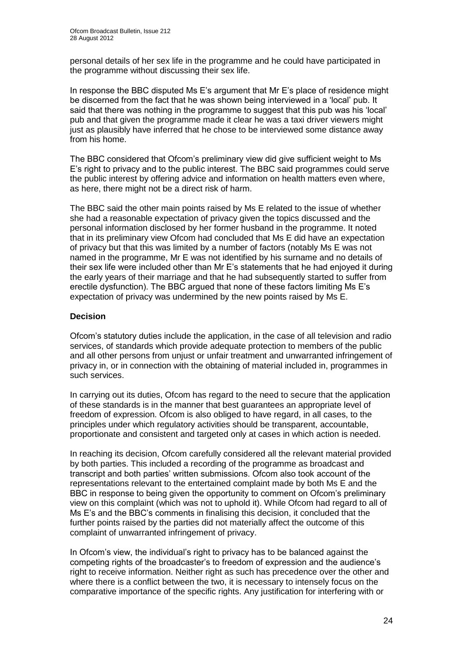personal details of her sex life in the programme and he could have participated in the programme without discussing their sex life.

In response the BBC disputed Ms E's argument that Mr E's place of residence might be discerned from the fact that he was shown being interviewed in a 'local' pub. It said that there was nothing in the programme to suggest that this pub was his 'local' pub and that given the programme made it clear he was a taxi driver viewers might just as plausibly have inferred that he chose to be interviewed some distance away from his home.

The BBC considered that Ofcom's preliminary view did give sufficient weight to Ms E's right to privacy and to the public interest. The BBC said programmes could serve the public interest by offering advice and information on health matters even where, as here, there might not be a direct risk of harm.

The BBC said the other main points raised by Ms E related to the issue of whether she had a reasonable expectation of privacy given the topics discussed and the personal information disclosed by her former husband in the programme. It noted that in its preliminary view Ofcom had concluded that Ms E did have an expectation of privacy but that this was limited by a number of factors (notably Ms E was not named in the programme, Mr E was not identified by his surname and no details of their sex life were included other than Mr E's statements that he had enjoyed it during the early years of their marriage and that he had subsequently started to suffer from erectile dysfunction). The BBC argued that none of these factors limiting Ms E's expectation of privacy was undermined by the new points raised by Ms E.

### **Decision**

Ofcom's statutory duties include the application, in the case of all television and radio services, of standards which provide adequate protection to members of the public and all other persons from unjust or unfair treatment and unwarranted infringement of privacy in, or in connection with the obtaining of material included in, programmes in such services.

In carrying out its duties, Ofcom has regard to the need to secure that the application of these standards is in the manner that best guarantees an appropriate level of freedom of expression. Ofcom is also obliged to have regard, in all cases, to the principles under which regulatory activities should be transparent, accountable, proportionate and consistent and targeted only at cases in which action is needed.

In reaching its decision, Ofcom carefully considered all the relevant material provided by both parties. This included a recording of the programme as broadcast and transcript and both parties' written submissions. Ofcom also took account of the representations relevant to the entertained complaint made by both Ms E and the BBC in response to being given the opportunity to comment on Ofcom's preliminary view on this complaint (which was not to uphold it). While Ofcom had regard to all of Ms E's and the BBC's comments in finalising this decision, it concluded that the further points raised by the parties did not materially affect the outcome of this complaint of unwarranted infringement of privacy.

In Ofcom's view, the individual's right to privacy has to be balanced against the competing rights of the broadcaster's to freedom of expression and the audience's right to receive information. Neither right as such has precedence over the other and where there is a conflict between the two, it is necessary to intensely focus on the comparative importance of the specific rights. Any justification for interfering with or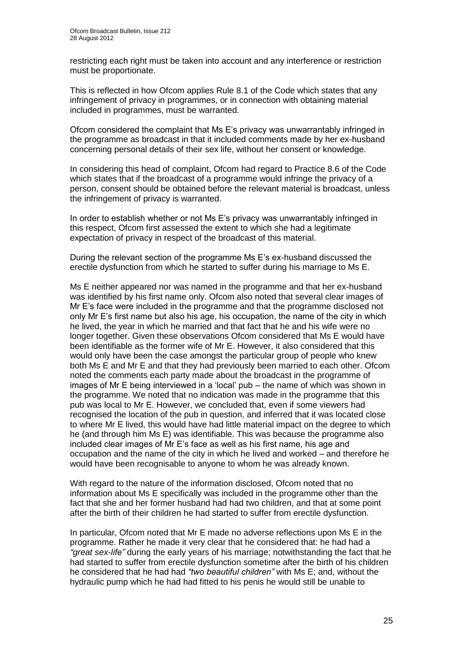restricting each right must be taken into account and any interference or restriction must be proportionate.

This is reflected in how Ofcom applies Rule 8.1 of the Code which states that any infringement of privacy in programmes, or in connection with obtaining material included in programmes, must be warranted.

Ofcom considered the complaint that Ms E's privacy was unwarrantably infringed in the programme as broadcast in that it included comments made by her ex-husband concerning personal details of their sex life, without her consent or knowledge.

In considering this head of complaint, Ofcom had regard to Practice 8.6 of the Code which states that if the broadcast of a programme would infringe the privacy of a person, consent should be obtained before the relevant material is broadcast, unless the infringement of privacy is warranted.

In order to establish whether or not Ms E's privacy was unwarrantably infringed in this respect, Ofcom first assessed the extent to which she had a legitimate expectation of privacy in respect of the broadcast of this material.

During the relevant section of the programme Ms E's ex-husband discussed the erectile dysfunction from which he started to suffer during his marriage to Ms E.

Ms E neither appeared nor was named in the programme and that her ex-husband was identified by his first name only. Ofcom also noted that several clear images of Mr E's face were included in the programme and that the programme disclosed not only Mr E's first name but also his age, his occupation, the name of the city in which he lived, the year in which he married and that fact that he and his wife were no longer together. Given these observations Ofcom considered that Ms E would have been identifiable as the former wife of Mr E. However, it also considered that this would only have been the case amongst the particular group of people who knew both Ms E and Mr E and that they had previously been married to each other. Ofcom noted the comments each party made about the broadcast in the programme of images of Mr E being interviewed in a 'local' pub – the name of which was shown in the programme. We noted that no indication was made in the programme that this pub was local to Mr E. However, we concluded that, even if some viewers had recognised the location of the pub in question, and inferred that it was located close to where Mr E lived, this would have had little material impact on the degree to which he (and through him Ms E) was identifiable. This was because the programme also included clear images of Mr E's face as well as his first name, his age and occupation and the name of the city in which he lived and worked – and therefore he would have been recognisable to anyone to whom he was already known.

With regard to the nature of the information disclosed, Ofcom noted that no information about Ms E specifically was included in the programme other than the fact that she and her former husband had had two children, and that at some point after the birth of their children he had started to suffer from erectile dysfunction.

In particular, Ofcom noted that Mr E made no adverse reflections upon Ms E in the programme. Rather he made it very clear that he considered that: he had had a *"great sex-life"* during the early years of his marriage; notwithstanding the fact that he had started to suffer from erectile dysfunction sometime after the birth of his children he considered that he had had *"two beautiful children"* with Ms E; and, without the hydraulic pump which he had had fitted to his penis he would still be unable to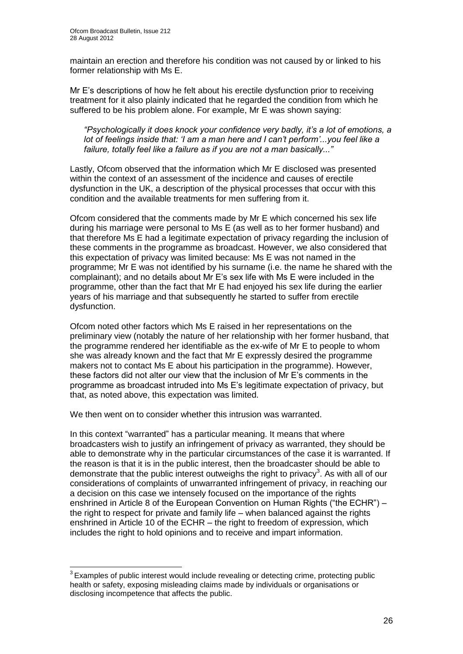1

maintain an erection and therefore his condition was not caused by or linked to his former relationship with Ms E.

Mr E's descriptions of how he felt about his erectile dysfunction prior to receiving treatment for it also plainly indicated that he regarded the condition from which he suffered to be his problem alone. For example, Mr E was shown saying:

*"Psychologically it does knock your confidence very badly, it's a lot of emotions, a lot of feelings inside that: 'I am a man here and I can't perform'...you feel like a failure, totally feel like a failure as if you are not a man basically..."* 

Lastly, Ofcom observed that the information which Mr E disclosed was presented within the context of an assessment of the incidence and causes of erectile dysfunction in the UK, a description of the physical processes that occur with this condition and the available treatments for men suffering from it.

Ofcom considered that the comments made by Mr E which concerned his sex life during his marriage were personal to Ms E (as well as to her former husband) and that therefore Ms E had a legitimate expectation of privacy regarding the inclusion of these comments in the programme as broadcast. However, we also considered that this expectation of privacy was limited because: Ms E was not named in the programme; Mr E was not identified by his surname (i.e. the name he shared with the complainant); and no details about Mr E's sex life with Ms E were included in the programme, other than the fact that Mr E had enjoyed his sex life during the earlier years of his marriage and that subsequently he started to suffer from erectile dysfunction.

Ofcom noted other factors which Ms E raised in her representations on the preliminary view (notably the nature of her relationship with her former husband, that the programme rendered her identifiable as the ex-wife of Mr E to people to whom she was already known and the fact that Mr E expressly desired the programme makers not to contact Ms E about his participation in the programme). However, these factors did not alter our view that the inclusion of Mr E's comments in the programme as broadcast intruded into Ms E's legitimate expectation of privacy, but that, as noted above, this expectation was limited.

We then went on to consider whether this intrusion was warranted.

In this context "warranted" has a particular meaning. It means that where broadcasters wish to justify an infringement of privacy as warranted, they should be able to demonstrate why in the particular circumstances of the case it is warranted. If the reason is that it is in the public interest, then the broadcaster should be able to demonstrate that the public interest outweighs the right to privacy<sup>3</sup>. As with all of our considerations of complaints of unwarranted infringement of privacy, in reaching our a decision on this case we intensely focused on the importance of the rights enshrined in Article 8 of the European Convention on Human Rights ("the ECHR") – the right to respect for private and family life – when balanced against the rights enshrined in Article 10 of the ECHR – the right to freedom of expression, which includes the right to hold opinions and to receive and impart information.

 $3$  Examples of public interest would include revealing or detecting crime, protecting public health or safety, exposing misleading claims made by individuals or organisations or disclosing incompetence that affects the public.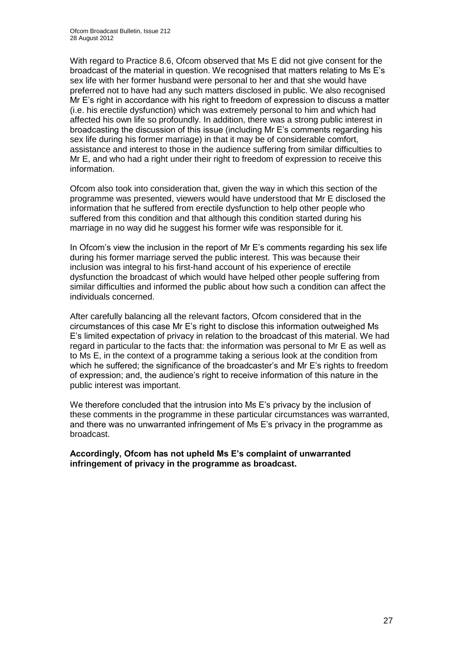With regard to Practice 8.6, Ofcom observed that Ms E did not give consent for the broadcast of the material in question. We recognised that matters relating to Ms E's sex life with her former husband were personal to her and that she would have preferred not to have had any such matters disclosed in public. We also recognised Mr E's right in accordance with his right to freedom of expression to discuss a matter (i.e. his erectile dysfunction) which was extremely personal to him and which had affected his own life so profoundly. In addition, there was a strong public interest in broadcasting the discussion of this issue (including Mr E's comments regarding his sex life during his former marriage) in that it may be of considerable comfort, assistance and interest to those in the audience suffering from similar difficulties to Mr E, and who had a right under their right to freedom of expression to receive this information.

Ofcom also took into consideration that, given the way in which this section of the programme was presented, viewers would have understood that Mr E disclosed the information that he suffered from erectile dysfunction to help other people who suffered from this condition and that although this condition started during his marriage in no way did he suggest his former wife was responsible for it.

In Ofcom's view the inclusion in the report of Mr E's comments regarding his sex life during his former marriage served the public interest. This was because their inclusion was integral to his first-hand account of his experience of erectile dysfunction the broadcast of which would have helped other people suffering from similar difficulties and informed the public about how such a condition can affect the individuals concerned.

After carefully balancing all the relevant factors, Ofcom considered that in the circumstances of this case Mr E's right to disclose this information outweighed Ms E's limited expectation of privacy in relation to the broadcast of this material. We had regard in particular to the facts that: the information was personal to Mr E as well as to Ms E, in the context of a programme taking a serious look at the condition from which he suffered; the significance of the broadcaster's and Mr E's rights to freedom of expression; and, the audience's right to receive information of this nature in the public interest was important.

We therefore concluded that the intrusion into Ms E's privacy by the inclusion of these comments in the programme in these particular circumstances was warranted, and there was no unwarranted infringement of Ms E's privacy in the programme as broadcast.

**Accordingly, Ofcom has not upheld Ms E's complaint of unwarranted infringement of privacy in the programme as broadcast.**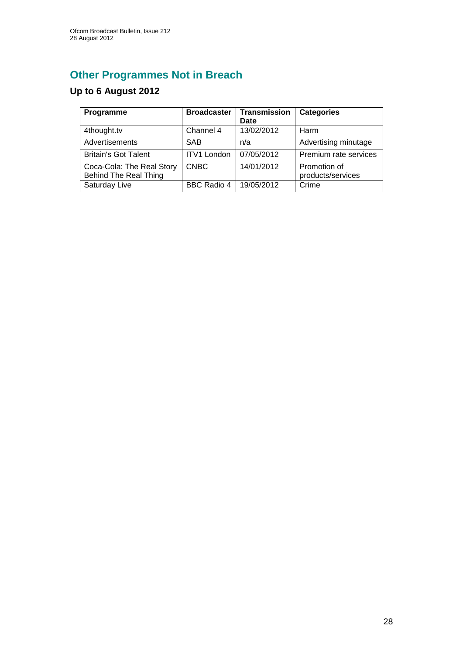# **Other Programmes Not in Breach**

# **Up to 6 August 2012**

| Programme                                                 | <b>Broadcaster</b> | <b>Transmission</b> | <b>Categories</b>                 |
|-----------------------------------------------------------|--------------------|---------------------|-----------------------------------|
|                                                           |                    | Date                |                                   |
| 4thought.tv                                               | Channel 4          | 13/02/2012          | Harm                              |
| Advertisements                                            | <b>SAB</b>         | n/a                 | Advertising minutage              |
| <b>Britain's Got Talent</b>                               | <b>ITV1 London</b> | 07/05/2012          | Premium rate services             |
| Coca-Cola: The Real Story<br><b>Behind The Real Thing</b> | <b>CNBC</b>        | 14/01/2012          | Promotion of<br>products/services |
| Saturday Live                                             | <b>BBC Radio 4</b> | 19/05/2012          | Crime                             |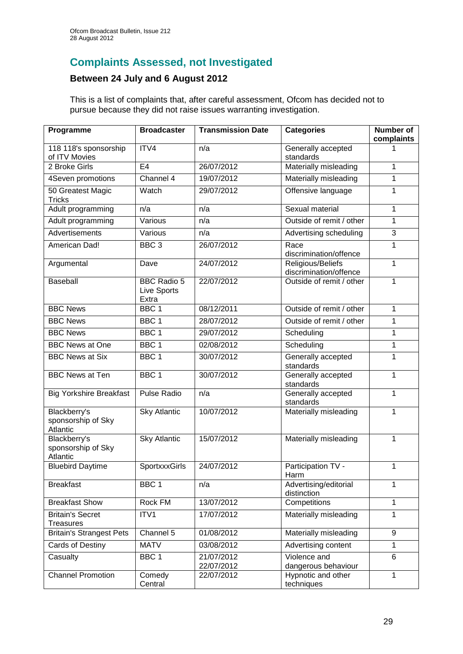# **Complaints Assessed, not Investigated**

### **Between 24 July and 6 August 2012**

This is a list of complaints that, after careful assessment, Ofcom has decided not to pursue because they did not raise issues warranting investigation.

| Programme                                      | <b>Broadcaster</b>                         | <b>Transmission Date</b> | <b>Categories</b>                           | <b>Number of</b><br>complaints |
|------------------------------------------------|--------------------------------------------|--------------------------|---------------------------------------------|--------------------------------|
| 118 118's sponsorship<br>of ITV Movies         | ITV4                                       | n/a                      | Generally accepted<br>standards             |                                |
| 2 Broke Girls                                  | E <sub>4</sub>                             | 26/07/2012               | Materially misleading                       | 1                              |
| 4Seven promotions                              | Channel 4                                  | 19/07/2012               | Materially misleading                       | 1                              |
| 50 Greatest Magic<br><b>Tricks</b>             | Watch                                      | 29/07/2012               | Offensive language                          | $\mathbf{1}$                   |
| Adult programming                              | n/a                                        | n/a                      | Sexual material                             | $\mathbf{1}$                   |
| Adult programming                              | Various                                    | n/a                      | Outside of remit / other                    | $\mathbf{1}$                   |
| Advertisements                                 | Various                                    | n/a                      | Advertising scheduling                      | 3                              |
| American Dad!                                  | BBC <sub>3</sub>                           | 26/07/2012               | Race<br>discrimination/offence              | 1                              |
| Argumental                                     | Dave                                       | 24/07/2012               | Religious/Beliefs<br>discrimination/offence | $\mathbf{1}$                   |
| Baseball                                       | <b>BBC Radio 5</b><br>Live Sports<br>Extra | 22/07/2012               | Outside of remit / other                    | $\mathbf{1}$                   |
| <b>BBC News</b>                                | BBC <sub>1</sub>                           | 08/12/2011               | Outside of remit / other                    | 1                              |
| <b>BBC News</b>                                | BBC <sub>1</sub>                           | 28/07/2012               | Outside of remit / other                    | 1                              |
| <b>BBC News</b>                                | BBC <sub>1</sub>                           | 29/07/2012               | Scheduling                                  | $\mathbf{1}$                   |
| <b>BBC News at One</b>                         | BBC <sub>1</sub>                           | 02/08/2012               | Scheduling                                  | $\mathbf{1}$                   |
| <b>BBC News at Six</b>                         | BBC <sub>1</sub>                           | 30/07/2012               | Generally accepted<br>standards             | 1                              |
| <b>BBC News at Ten</b>                         | BBC <sub>1</sub>                           | 30/07/2012               | Generally accepted<br>standards             | $\mathbf{1}$                   |
| <b>Big Yorkshire Breakfast</b>                 | <b>Pulse Radio</b>                         | n/a                      | Generally accepted<br>standards             | $\mathbf{1}$                   |
| Blackberry's<br>sponsorship of Sky<br>Atlantic | <b>Sky Atlantic</b>                        | 10/07/2012               | Materially misleading                       | $\mathbf{1}$                   |
| Blackberry's<br>sponsorship of Sky<br>Atlantic | <b>Sky Atlantic</b>                        | 15/07/2012               | Materially misleading                       | $\mathbf{1}$                   |
| <b>Bluebird Daytime</b>                        | SportxxxGirls                              | 24/07/2012               | Participation TV -<br>Harm                  | 1                              |
| <b>Breakfast</b>                               | BBC 1                                      | n/a                      | Advertising/editorial<br>distinction        | $\mathbf{1}$                   |
| <b>Breakfast Show</b>                          | Rock FM                                    | 13/07/2012               | Competitions                                | $\mathbf{1}$                   |
| <b>Britain's Secret</b><br><b>Treasures</b>    | ITV1                                       | 17/07/2012               | Materially misleading                       | $\mathbf{1}$                   |
| <b>Britain's Strangest Pets</b>                | Channel 5                                  | 01/08/2012               | Materially misleading                       | 9                              |
| Cards of Destiny                               | <b>MATV</b>                                | 03/08/2012               | Advertising content                         | $\mathbf{1}$                   |
| Casualty                                       | BBC <sub>1</sub>                           | 21/07/2012<br>22/07/2012 | Violence and<br>dangerous behaviour         | 6                              |
| <b>Channel Promotion</b>                       | Comedy<br>Central                          | 22/07/2012               | Hypnotic and other<br>techniques            | $\mathbf{1}$                   |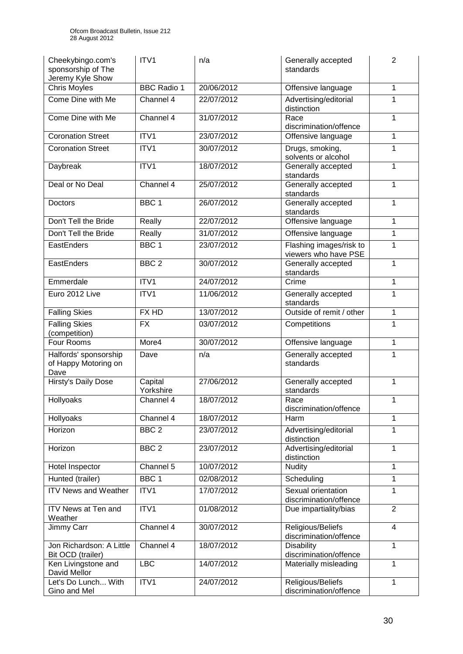| Cheekybingo.com's<br>sponsorship of The<br>Jeremy Kyle Show | ITV1                 | n/a        | Generally accepted<br>standards                 | $\overline{2}$ |
|-------------------------------------------------------------|----------------------|------------|-------------------------------------------------|----------------|
| <b>Chris Moyles</b>                                         | <b>BBC Radio 1</b>   | 20/06/2012 | Offensive language                              | 1              |
| Come Dine with Me                                           | Channel 4            | 22/07/2012 | Advertising/editorial<br>distinction            | 1              |
| Come Dine with Me                                           | Channel 4            | 31/07/2012 | Race<br>discrimination/offence                  | $\mathbf{1}$   |
| <b>Coronation Street</b>                                    | ITV1                 | 23/07/2012 | Offensive language                              | $\mathbf{1}$   |
| <b>Coronation Street</b>                                    | ITV1                 | 30/07/2012 | Drugs, smoking,<br>solvents or alcohol          | 1              |
| Daybreak                                                    | ITV1                 | 18/07/2012 | Generally accepted<br>standards                 | $\mathbf{1}$   |
| Deal or No Deal                                             | Channel 4            | 25/07/2012 | Generally accepted<br>standards                 | 1              |
| Doctors                                                     | BBC <sub>1</sub>     | 26/07/2012 | Generally accepted<br>standards                 | $\mathbf{1}$   |
| Don't Tell the Bride                                        | Really               | 22/07/2012 | Offensive language                              | 1              |
| Don't Tell the Bride                                        | Really               | 31/07/2012 | Offensive language                              | $\mathbf{1}$   |
| EastEnders                                                  | BBC <sub>1</sub>     | 23/07/2012 | Flashing images/risk to<br>viewers who have PSE | 1              |
| EastEnders                                                  | BBC <sub>2</sub>     | 30/07/2012 | Generally accepted<br>standards                 | 1              |
| Emmerdale                                                   | ITV1                 | 24/07/2012 | Crime                                           | 1              |
| Euro 2012 Live                                              | ITV1                 | 11/06/2012 | Generally accepted<br>standards                 | $\mathbf{1}$   |
| <b>Falling Skies</b>                                        | FX HD                | 13/07/2012 | Outside of remit / other                        | 1              |
| <b>Falling Skies</b><br>(competition)                       | <b>FX</b>            | 03/07/2012 | Competitions<br>1                               |                |
| Four Rooms                                                  | More4                | 30/07/2012 | Offensive language<br>1                         |                |
| Halfords' sponsorship<br>of Happy Motoring on<br>Dave       | Dave                 | n/a        | Generally accepted<br>1<br>standards            |                |
| Hirsty's Daily Dose                                         | Capital<br>Yorkshire | 27/06/2012 | Generally accepted<br>1<br>standards            |                |
| Hollyoaks                                                   | Channel 4            | 18/07/2012 | Race<br>discrimination/offence                  | 1              |
| Hollyoaks                                                   | Channel 4            | 18/07/2012 | Harm                                            | 1              |
| Horizon                                                     | BBC <sub>2</sub>     | 23/07/2012 | Advertising/editorial<br>distinction            | 1              |
| Horizon                                                     | BBC <sub>2</sub>     | 23/07/2012 | Advertising/editorial<br>distinction            | 1              |
| Hotel Inspector                                             | Channel 5            | 10/07/2012 | <b>Nudity</b>                                   | $\mathbf{1}$   |
| Hunted (trailer)                                            | BBC <sub>1</sub>     | 02/08/2012 | Scheduling                                      | 1              |
| <b>ITV News and Weather</b>                                 | ITV1                 | 17/07/2012 | Sexual orientation<br>discrimination/offence    | 1              |
| ITV News at Ten and<br>Weather                              | ITV1                 | 01/08/2012 | Due impartiality/bias                           | $\overline{2}$ |
| Jimmy Carr                                                  | Channel 4            | 30/07/2012 | Religious/Beliefs<br>discrimination/offence     | $\overline{4}$ |
| Jon Richardson: A Little<br>Bit OCD (trailer)               | Channel 4            | 18/07/2012 | <b>Disability</b><br>discrimination/offence     | 1              |
| Ken Livingstone and<br>David Mellor                         | <b>LBC</b>           | 14/07/2012 | Materially misleading                           | 1              |
| Let's Do Lunch With<br>Gino and Mel                         | ITV1                 | 24/07/2012 | Religious/Beliefs<br>discrimination/offence     | $\mathbf{1}$   |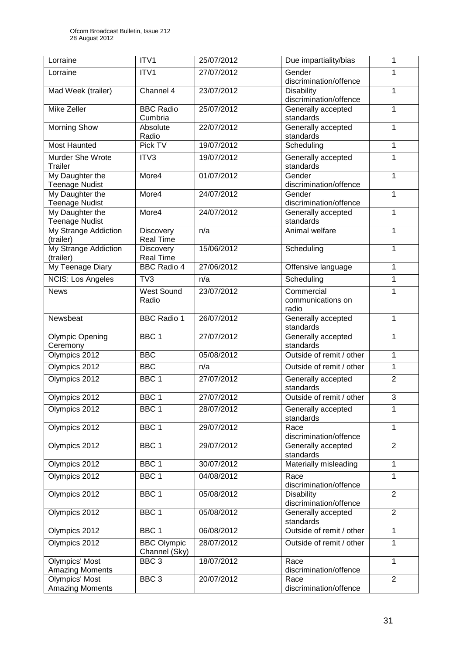| Lorraine                                        | ITV1                                 | 25/07/2012 | Due impartiality/bias                                    | 1              |
|-------------------------------------------------|--------------------------------------|------------|----------------------------------------------------------|----------------|
| Lorraine                                        | ITV1                                 | 27/07/2012 | Gender<br>discrimination/offence                         | 1              |
| Mad Week (trailer)                              | Channel 4                            | 23/07/2012 | <b>Disability</b><br>1<br>discrimination/offence         |                |
| Mike Zeller                                     | <b>BBC Radio</b><br>Cumbria          | 25/07/2012 | Generally accepted<br>standards                          | 1              |
| <b>Morning Show</b>                             | Absolute<br>Radio                    | 22/07/2012 | Generally accepted<br>standards                          | $\mathbf{1}$   |
| <b>Most Haunted</b>                             | Pick TV                              | 19/07/2012 | Scheduling                                               | $\mathbf{1}$   |
| <b>Murder She Wrote</b><br>Trailer              | ITV3                                 | 19/07/2012 | Generally accepted<br>standards                          | 1              |
| My Daughter the<br><b>Teenage Nudist</b>        | More4                                | 01/07/2012 | Gender<br>discrimination/offence                         | $\mathbf{1}$   |
| My Daughter the<br><b>Teenage Nudist</b>        | More4                                | 24/07/2012 | Gender<br>discrimination/offence                         | 1              |
| My Daughter the<br><b>Teenage Nudist</b>        | More4                                | 24/07/2012 | Generally accepted<br>standards                          | $\mathbf{1}$   |
| My Strange Addiction<br>(trailer)               | Discovery<br><b>Real Time</b>        | n/a        | Animal welfare                                           | 1              |
| My Strange Addiction<br>(trailer)               | <b>Discovery</b><br><b>Real Time</b> | 15/06/2012 | Scheduling                                               | $\mathbf{1}$   |
| My Teenage Diary                                | <b>BBC Radio 4</b>                   | 27/06/2012 | Offensive language                                       | $\mathbf{1}$   |
| <b>NCIS: Los Angeles</b>                        | TV <sub>3</sub>                      | n/a        | Scheduling                                               | $\mathbf{1}$   |
| <b>News</b>                                     | <b>West Sound</b><br>Radio           | 23/07/2012 | Commercial<br>$\mathbf{1}$<br>communications on<br>radio |                |
| Newsbeat                                        | <b>BBC Radio 1</b>                   | 26/07/2012 | Generally accepted<br>standards                          | $\mathbf{1}$   |
| <b>Olympic Opening</b><br>Ceremony              | BBC <sub>1</sub>                     | 27/07/2012 | Generally accepted<br>standards                          | $\mathbf{1}$   |
| Olympics 2012                                   | <b>BBC</b>                           | 05/08/2012 | Outside of remit / other<br>$\mathbf{1}$                 |                |
| Olympics 2012                                   | <b>BBC</b>                           | n/a        | Outside of remit / other<br>1                            |                |
| Olympics 2012                                   | BBC <sub>1</sub>                     | 27/07/2012 | $\overline{2}$<br>Generally accepted<br>standards        |                |
| Olympics 2012                                   | BBC <sub>1</sub>                     | 27/07/2012 | Outside of remit / other                                 | 3              |
| Olympics 2012                                   | BBC 1                                | 28/07/2012 | Generally accepted<br>standards                          | $\mathbf{1}$   |
| Olympics 2012                                   | BBC <sub>1</sub>                     | 29/07/2012 | Race<br>discrimination/offence                           | 1              |
| Olympics 2012                                   | BBC <sub>1</sub>                     | 29/07/2012 | Generally accepted<br>standards                          | $\overline{2}$ |
| Olympics 2012                                   | BBC <sub>1</sub>                     | 30/07/2012 | Materially misleading                                    | $\mathbf{1}$   |
| Olympics 2012                                   | BBC <sub>1</sub>                     | 04/08/2012 | Race<br>discrimination/offence                           | $\mathbf{1}$   |
| Olympics 2012                                   | BBC <sub>1</sub>                     | 05/08/2012 | <b>Disability</b><br>discrimination/offence              | $\overline{2}$ |
| Olympics 2012                                   | BBC 1                                | 05/08/2012 | Generally accepted<br>standards                          | $\overline{2}$ |
| Olympics 2012                                   | BBC <sub>1</sub>                     | 06/08/2012 | Outside of remit / other                                 | $\mathbf{1}$   |
| Olympics 2012                                   | <b>BBC Olympic</b><br>Channel (Sky)  | 28/07/2012 | Outside of remit / other<br>1                            |                |
| <b>Olympics' Most</b>                           | BBC <sub>3</sub>                     | 18/07/2012 | Race                                                     | $\mathbf{1}$   |
| <b>Amazing Moments</b>                          |                                      |            | discrimination/offence                                   | $\overline{2}$ |
| <b>Olympics' Most</b><br><b>Amazing Moments</b> | BBC <sub>3</sub>                     | 20/07/2012 | Race<br>discrimination/offence                           |                |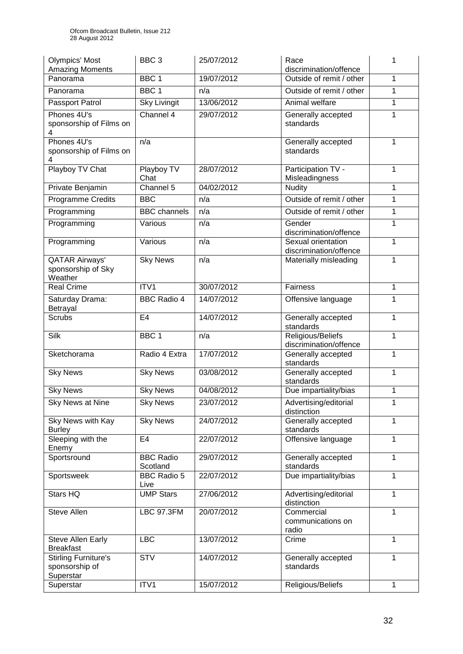| <b>Olympics' Most</b><br><b>Amazing Moments</b>            | BBC <sub>3</sub>             | 25/07/2012 | Race<br>discrimination/offence               | 1            |
|------------------------------------------------------------|------------------------------|------------|----------------------------------------------|--------------|
| Panorama                                                   | BBC <sub>1</sub>             | 19/07/2012 | Outside of remit / other                     | 1            |
| Panorama                                                   | BBC <sub>1</sub>             | n/a        | Outside of remit / other                     | $\mathbf{1}$ |
| Passport Patrol                                            | <b>Sky Livingit</b>          | 13/06/2012 | Animal welfare                               | 1            |
| Phones 4U's<br>sponsorship of Films on<br>4                | Channel 4                    | 29/07/2012 | Generally accepted<br>standards              | 1            |
| Phones 4U's<br>sponsorship of Films on<br>4                | n/a                          |            | Generally accepted<br>standards              | 1            |
| Playboy TV Chat                                            | Playboy TV<br>Chat           | 28/07/2012 | Participation TV -<br>Misleadingness         | 1            |
| Private Benjamin                                           | Channel 5                    | 04/02/2012 | Nudity                                       | $\mathbf{1}$ |
| Programme Credits                                          | <b>BBC</b>                   | n/a        | Outside of remit / other                     | 1            |
| Programming                                                | <b>BBC</b> channels          | n/a        | Outside of remit / other                     | $\mathbf{1}$ |
| Programming                                                | Various                      | n/a        | Gender<br>discrimination/offence             | $\mathbf{1}$ |
| Programming                                                | Various                      | n/a        | Sexual orientation<br>discrimination/offence | 1            |
| <b>QATAR Airways'</b><br>sponsorship of Sky<br>Weather     | <b>Sky News</b>              | n/a        | Materially misleading                        | 1            |
| <b>Real Crime</b>                                          | ITV1                         | 30/07/2012 | Fairness                                     | 1            |
| Saturday Drama:<br>Betrayal                                | <b>BBC Radio 4</b>           | 14/07/2012 | Offensive language                           | 1            |
| <b>Scrubs</b>                                              | E <sub>4</sub>               | 14/07/2012 | Generally accepted<br>standards              | 1            |
| Silk                                                       | BBC <sub>1</sub>             | n/a        | Religious/Beliefs<br>discrimination/offence  | 1            |
| Sketchorama                                                | Radio 4 Extra                | 17/07/2012 | Generally accepted<br>standards              | 1            |
| <b>Sky News</b>                                            | <b>Sky News</b>              | 03/08/2012 | Generally accepted<br>standards              | 1            |
| <b>Sky News</b>                                            | <b>Sky News</b>              | 04/08/2012 | Due impartiality/bias                        | 1            |
| <b>Sky News at Nine</b>                                    | <b>Sky News</b>              | 23/07/2012 | Advertising/editorial<br>distinction         | $\mathbf{1}$ |
| Sky News with Kay<br><b>Burley</b>                         | <b>Sky News</b>              | 24/07/2012 | Generally accepted<br>standards              | 1            |
| Sleeping with the<br>Enemy                                 | E <sub>4</sub>               | 22/07/2012 | Offensive language                           | $\mathbf{1}$ |
| Sportsround                                                | <b>BBC Radio</b><br>Scotland | 29/07/2012 | Generally accepted<br>standards              | 1            |
| Sportsweek                                                 | <b>BBC Radio 5</b><br>Live   | 22/07/2012 | Due impartiality/bias                        | $\mathbf{1}$ |
| Stars HQ                                                   | <b>UMP Stars</b>             | 27/06/2012 | Advertising/editorial<br>distinction         | $\mathbf{1}$ |
| Steve Allen                                                | <b>LBC 97.3FM</b>            | 20/07/2012 | Commercial<br>communications on<br>radio     | 1            |
| <b>Steve Allen Early</b><br><b>Breakfast</b>               | <b>LBC</b>                   | 13/07/2012 | Crime                                        | $\mathbf{1}$ |
| <b>Stirling Furniture's</b><br>sponsorship of<br>Superstar | <b>STV</b>                   | 14/07/2012 | Generally accepted<br>standards              | 1            |
| Superstar                                                  | ITV1                         | 15/07/2012 | Religious/Beliefs                            | $\mathbf{1}$ |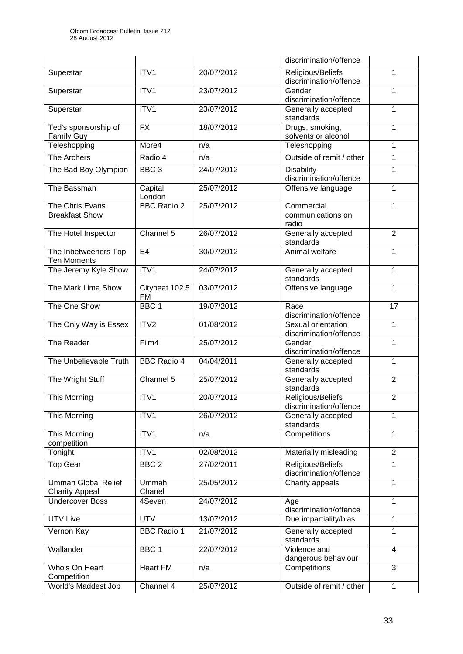|                                                     |                      |            | discrimination/offence                       |                |
|-----------------------------------------------------|----------------------|------------|----------------------------------------------|----------------|
| Superstar                                           | ITV1                 | 20/07/2012 | Religious/Beliefs<br>discrimination/offence  | 1              |
| Superstar                                           | ITV1                 | 23/07/2012 | Gender<br>discrimination/offence             | 1              |
| Superstar                                           | ITV1                 | 23/07/2012 | Generally accepted<br>standards              | 1              |
| Ted's sponsorship of<br><b>Family Guy</b>           | <b>FX</b>            | 18/07/2012 | Drugs, smoking,<br>solvents or alcohol       | 1              |
| Teleshopping                                        | More4                | n/a        | Teleshopping                                 | 1              |
| The Archers                                         | Radio 4              | n/a        | Outside of remit / other                     | $\mathbf{1}$   |
| The Bad Boy Olympian                                | BBC <sub>3</sub>     | 24/07/2012 | <b>Disability</b><br>discrimination/offence  | 1              |
| The Bassman                                         | Capital<br>London    | 25/07/2012 | Offensive language                           | 1              |
| The Chris Evans<br><b>Breakfast Show</b>            | <b>BBC Radio 2</b>   | 25/07/2012 | Commercial<br>communications on<br>radio     | 1              |
| The Hotel Inspector                                 | Channel 5            | 26/07/2012 | Generally accepted<br>standards              | $\overline{2}$ |
| The Inbetweeners Top<br><b>Ten Moments</b>          | E <sub>4</sub>       | 30/07/2012 | Animal welfare                               | 1              |
| The Jeremy Kyle Show                                | ITV1                 | 24/07/2012 | Generally accepted<br>standards              | 1              |
| The Mark Lima Show                                  | Citybeat 102.5<br>FM | 03/07/2012 | Offensive language                           | 1              |
| The One Show                                        | BBC <sub>1</sub>     | 19/07/2012 | Race<br>discrimination/offence               | 17             |
| The Only Way is Essex                               | ITV2                 | 01/08/2012 | Sexual orientation<br>discrimination/offence | 1              |
| The Reader                                          | Film4                | 25/07/2012 | Gender<br>discrimination/offence             | 1              |
| The Unbelievable Truth                              | <b>BBC Radio 4</b>   | 04/04/2011 | Generally accepted<br>standards              | 1              |
| The Wright Stuff                                    | Channel 5            | 25/07/2012 | Generally accepted<br>standards              | $\overline{2}$ |
| This Morning                                        | ITV1                 | 20/07/2012 | Religious/Beliefs<br>discrimination/offence  | $\overline{2}$ |
| This Morning                                        | ITV1                 | 26/07/2012 | Generally accepted<br>standards              | 1              |
| This Morning<br>competition                         | ITV1                 | n/a        | Competitions                                 | 1              |
| Tonight                                             | ITV1                 | 02/08/2012 | Materially misleading                        | $\overline{2}$ |
| Top Gear                                            | BBC <sub>2</sub>     | 27/02/2011 | Religious/Beliefs<br>discrimination/offence  | 1              |
| <b>Ummah Global Relief</b><br><b>Charity Appeal</b> | Ummah<br>Chanel      | 25/05/2012 | Charity appeals                              | 1              |
| <b>Undercover Boss</b>                              | 4Seven               | 24/07/2012 | Age<br>discrimination/offence                | 1              |
| <b>UTV Live</b>                                     | <b>UTV</b>           | 13/07/2012 | Due impartiality/bias                        | $\mathbf{1}$   |
| Vernon Kay                                          | <b>BBC Radio 1</b>   | 21/07/2012 | Generally accepted<br>standards              | 1              |
| Wallander                                           | BBC <sub>1</sub>     | 22/07/2012 | Violence and<br>dangerous behaviour          | 4              |
| Who's On Heart                                      | <b>Heart FM</b>      | n/a        | Competitions                                 | 3              |
| Competition<br>World's Maddest Job                  | Channel 4            | 25/07/2012 | Outside of remit / other                     | 1              |
|                                                     |                      |            |                                              |                |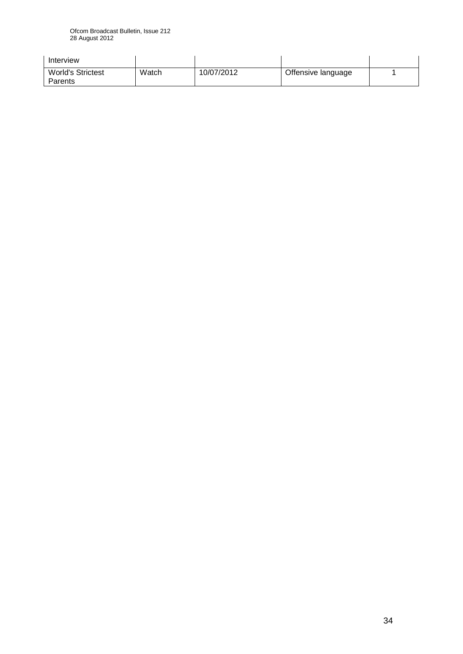### Ofcom Broadcast Bulletin, Issue 212 28 August 2012

| Interview                           |       |            |                    |  |
|-------------------------------------|-------|------------|--------------------|--|
| <b>World's Strictest</b><br>Parents | Watch | 10/07/2012 | Offensive language |  |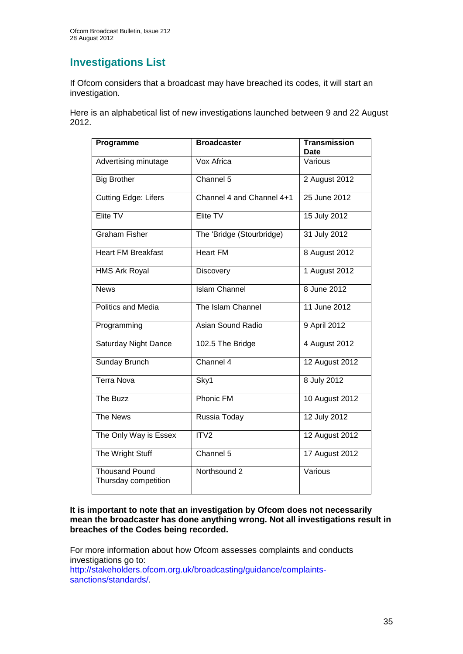# **Investigations List**

If Ofcom considers that a broadcast may have breached its codes, it will start an investigation.

Here is an alphabetical list of new investigations launched between 9 and 22 August 2012.

| Programme                              | <b>Broadcaster</b>        | <b>Transmission</b><br><b>Date</b> |
|----------------------------------------|---------------------------|------------------------------------|
| Advertising minutage                   | Vox Africa                | Various                            |
| <b>Big Brother</b>                     | Channel 5                 | 2 August 2012                      |
| <b>Cutting Edge: Lifers</b>            | Channel 4 and Channel 4+1 | 25 June 2012                       |
| Elite TV                               | Elite TV                  | 15 July 2012                       |
| <b>Graham Fisher</b>                   | The 'Bridge (Stourbridge) | 31 July 2012                       |
| <b>Heart FM Breakfast</b>              | <b>Heart FM</b>           | 8 August 2012                      |
| <b>HMS Ark Royal</b>                   | Discovery                 | 1 August 2012                      |
| <b>News</b>                            | <b>Islam Channel</b>      | 8 June 2012                        |
| Politics and Media                     | The Islam Channel         | 11 June 2012                       |
| Programming                            | Asian Sound Radio         | 9 April 2012                       |
| Saturday Night Dance                   | 102.5 The Bridge          | 4 August 2012                      |
| Sunday Brunch                          | Channel 4                 | 12 August 2012                     |
| Terra Nova                             | Sky1                      | 8 July 2012                        |
| The Buzz                               | <b>Phonic FM</b>          | 10 August 2012                     |
| <b>The News</b>                        | Russia Today              | 12 July 2012                       |
| The Only Way is Essex                  | ITV <sub>2</sub>          | 12 August 2012                     |
| The Wright Stuff                       | Channel 5                 | 17 August 2012                     |
| Thousand Pound<br>Thursday competition | Northsound 2              | Various                            |

**It is important to note that an investigation by Ofcom does not necessarily mean the broadcaster has done anything wrong. Not all investigations result in breaches of the Codes being recorded.**

For more information about how Ofcom assesses complaints and conducts investigations go to: [http://stakeholders.ofcom.org.uk/broadcasting/guidance/complaints](http://stakeholders.ofcom.org.uk/broadcasting/guidance/complaints-sanctions/standards/)[sanctions/standards/.](http://stakeholders.ofcom.org.uk/broadcasting/guidance/complaints-sanctions/standards/)